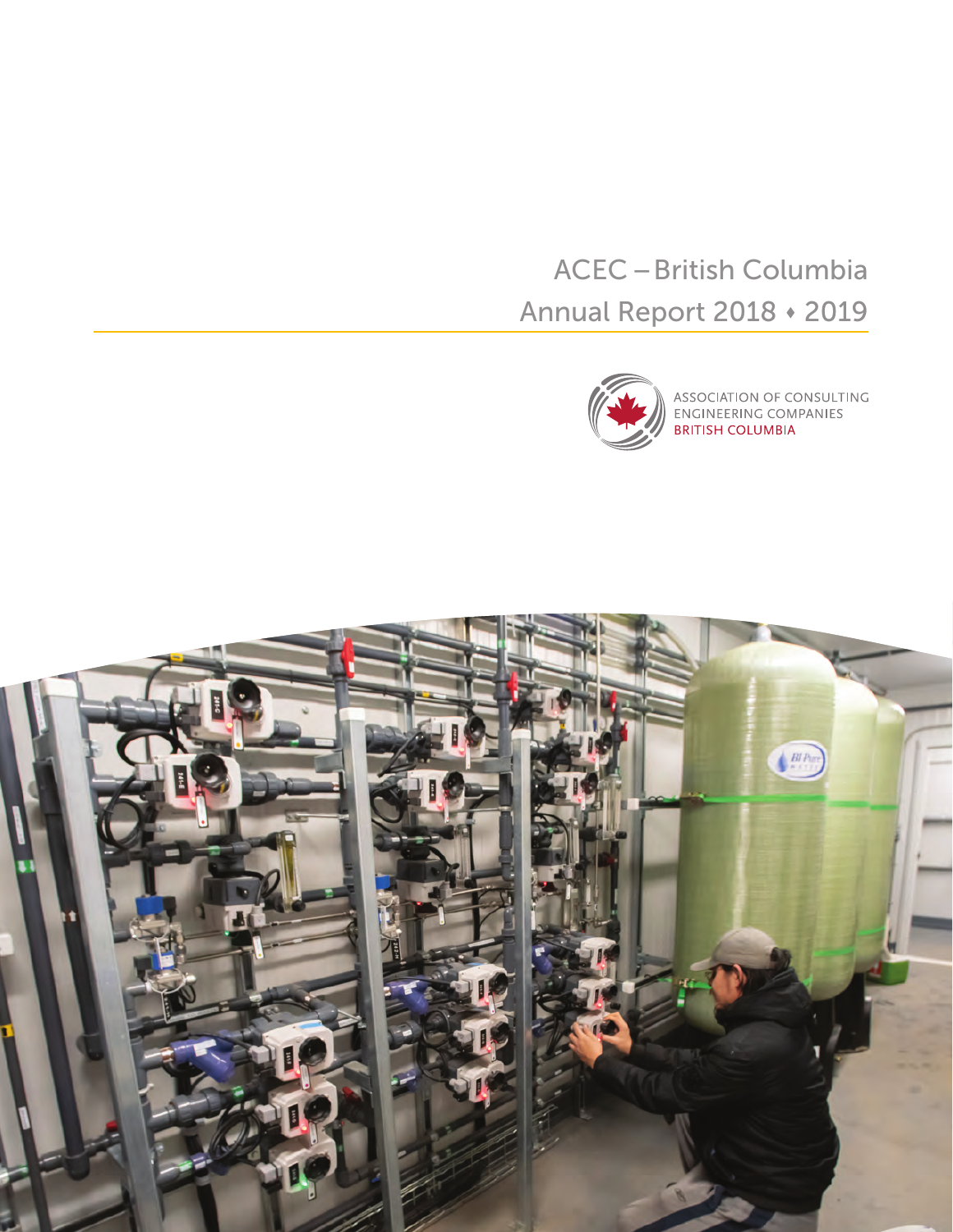# ACEC – British Columbia Annual Report 2018 + 2019



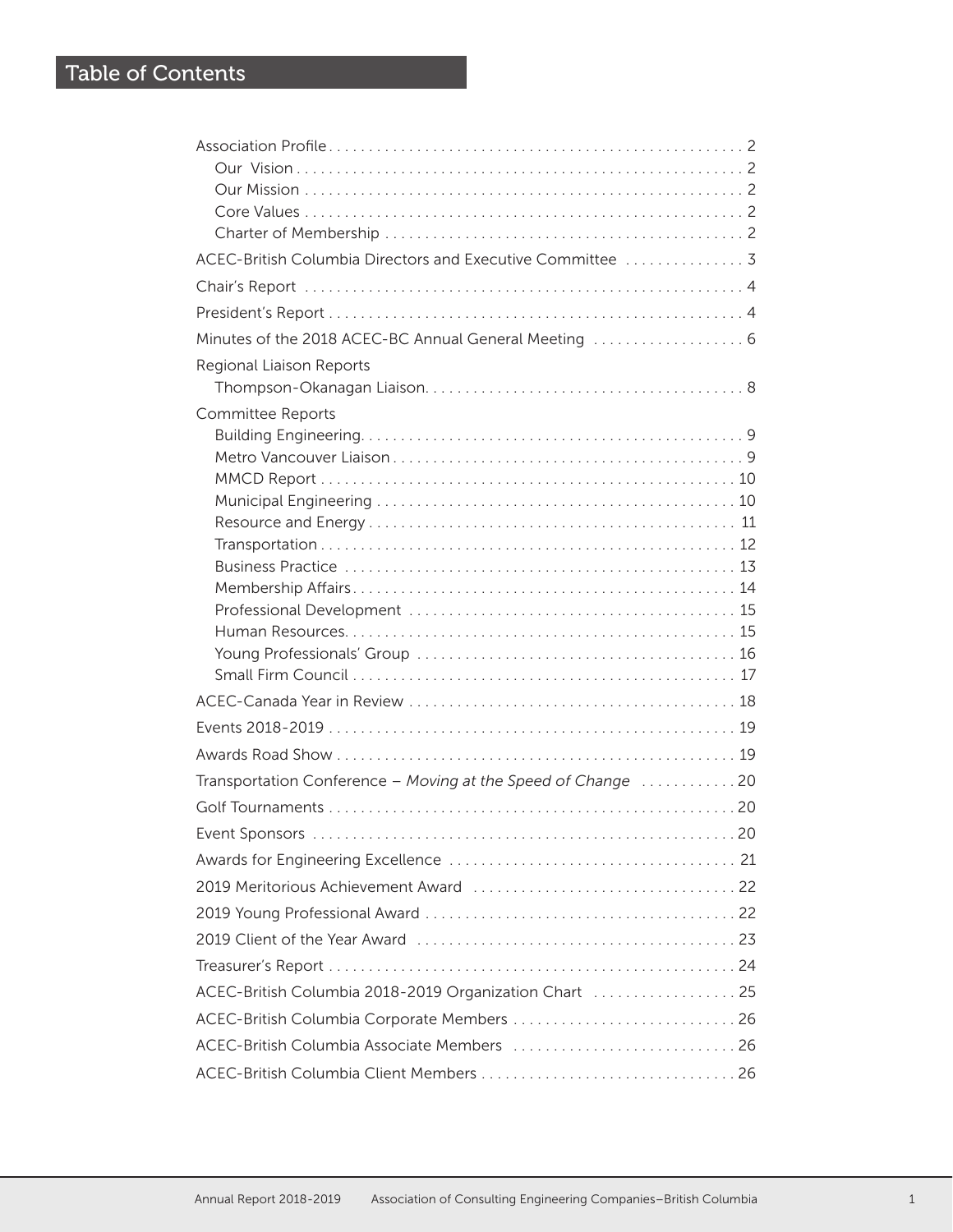# Table of Contents

| Minutes of the 2018 ACEC-BC Annual General Meeting  6        |  |
|--------------------------------------------------------------|--|
| Regional Liaison Reports                                     |  |
|                                                              |  |
| Committee Reports                                            |  |
|                                                              |  |
|                                                              |  |
|                                                              |  |
|                                                              |  |
|                                                              |  |
|                                                              |  |
|                                                              |  |
|                                                              |  |
|                                                              |  |
|                                                              |  |
|                                                              |  |
|                                                              |  |
|                                                              |  |
|                                                              |  |
| Transportation Conference - Moving at the Speed of Change 20 |  |
|                                                              |  |
|                                                              |  |
|                                                              |  |
|                                                              |  |
|                                                              |  |
|                                                              |  |
|                                                              |  |
| ACEC-British Columbia 2018-2019 Organization Chart  25       |  |
|                                                              |  |
|                                                              |  |
|                                                              |  |
|                                                              |  |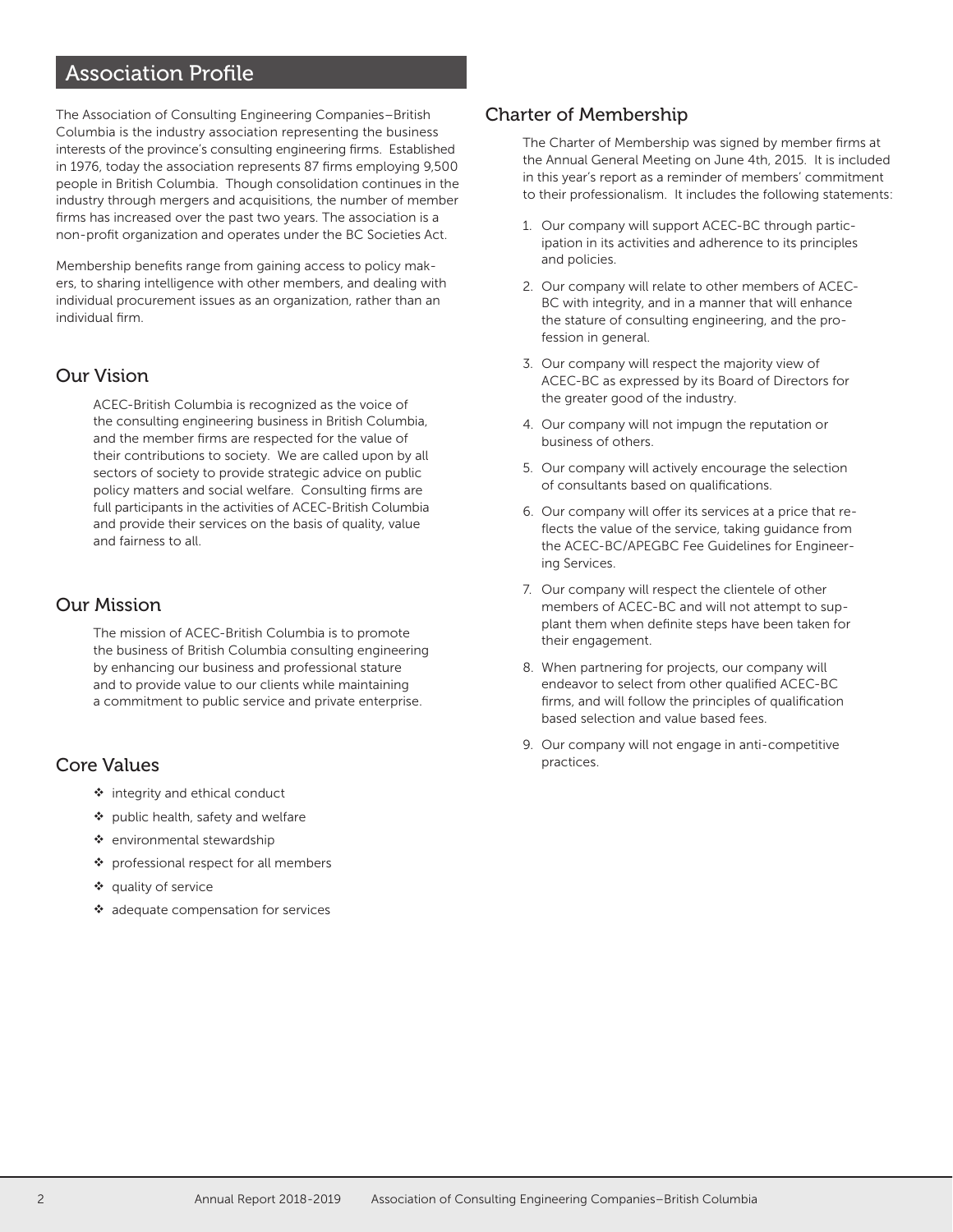### **Association Profile**

The Association of Consulting Engineering Companies–British Columbia is the industry association representing the business interests of the province's consulting engineering firms. Established in 1976, today the association represents 87 firms employing 9,500 people in British Columbia. Though consolidation continues in the industry through mergers and acquisitions, the number of member firms has increased over the past two years. The association is a non-profit organization and operates under the BC Societies Act.

Membership benefits range from gaining access to policy makers, to sharing intelligence with other members, and dealing with individual procurement issues as an organization, rather than an individual firm.

#### Our Vision

ACEC-British Columbia is recognized as the voice of the consulting engineering business in British Columbia, and the member firms are respected for the value of their contributions to society. We are called upon by all sectors of society to provide strategic advice on public policy matters and social welfare. Consulting firms are full participants in the activities of ACEC-British Columbia and provide their services on the basis of quality, value and fairness to all.

#### Our Mission

The mission of ACEC-British Columbia is to promote the business of British Columbia consulting engineering by enhancing our business and professional stature and to provide value to our clients while maintaining a commitment to public service and private enterprise.

#### Core Values

- ❖ integrity and ethical conduct
- \* public health, safety and welfare
- \* environmental stewardship
- ❖ professional respect for all members
- ❖ quality of service
- ❖ adequate compensation for services

#### Charter of Membership

The Charter of Membership was signed by member firms at the Annual General Meeting on June 4th, 2015. It is included in this year's report as a reminder of members' commitment to their professionalism. It includes the following statements:

- 1. Our company will support ACEC-BC through participation in its activities and adherence to its principles and policies.
- 2. Our company will relate to other members of ACEC-BC with integrity, and in a manner that will enhance the stature of consulting engineering, and the profession in general.
- 3. Our company will respect the majority view of ACEC-BC as expressed by its Board of Directors for the greater good of the industry.
- 4. Our company will not impugn the reputation or business of others.
- 5. Our company will actively encourage the selection of consultants based on qualifications.
- 6. Our company will offer its services at a price that reflects the value of the service, taking guidance from the ACEC-BC/APEGBC Fee Guidelines for Engineering Services.
- 7. Our company will respect the clientele of other members of ACEC-BC and will not attempt to supplant them when definite steps have been taken for their engagement.
- 8. When partnering for projects, our company will endeavor to select from other qualified ACEC-BC firms, and will follow the principles of qualification based selection and value based fees.
- 9. Our company will not engage in anti-competitive practices.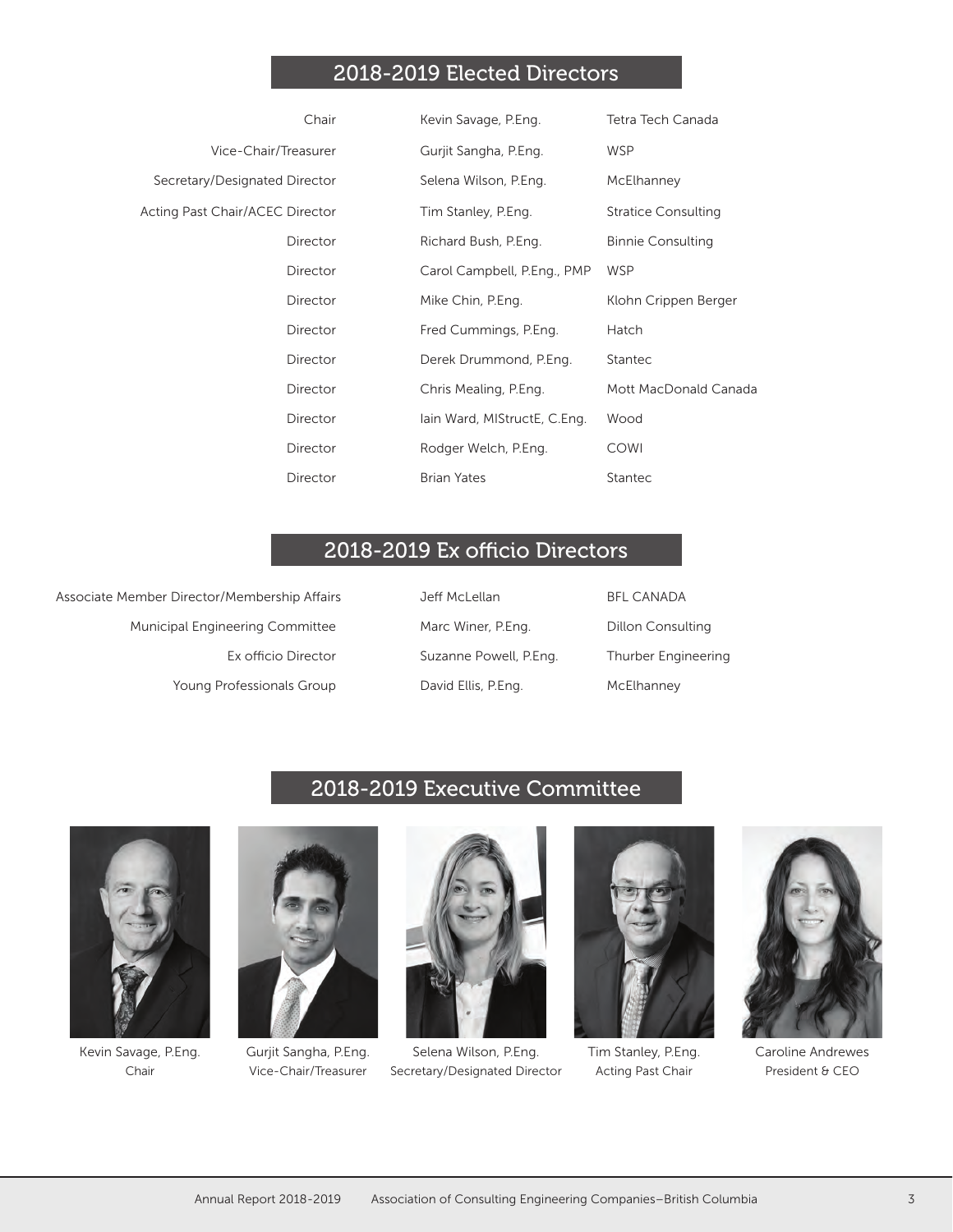### 2018-2019 Elected Directors

| Chair                           | Kevin Savage, P.Eng.         | Tetra Tech Canada          |
|---------------------------------|------------------------------|----------------------------|
| Vice-Chair/Treasurer            | Gurjit Sangha, P.Eng.        | <b>WSP</b>                 |
| Secretary/Designated Director   | Selena Wilson, P.Eng.        | McElhanney                 |
| Acting Past Chair/ACEC Director | Tim Stanley, P.Eng.          | <b>Stratice Consulting</b> |
| Director                        | Richard Bush, P.Eng.         | <b>Binnie Consulting</b>   |
| Director                        | Carol Campbell, P.Eng., PMP  | <b>WSP</b>                 |
| Director                        | Mike Chin, P.Eng.            | Klohn Crippen Berger       |
| Director                        | Fred Cummings, P.Eng.        | Hatch                      |
| Director                        | Derek Drummond, P.Eng.       | Stantec                    |
| Director                        | Chris Mealing, P.Eng.        | Mott MacDonald Canada      |
| Director                        | lain Ward, MIStructE, C.Eng. | Wood                       |
| Director                        | Rodger Welch, P.Eng.         | <b>COWI</b>                |
| Director                        | <b>Brian Yates</b>           | Stantec                    |

### 2018-2019 Ex officio Directors

Associate Member Director/Membership Affairs Municipal Engineering Committee Young Professionals Group

| Membership Affairs  | Jeff McLellan          | <b>BFL CANADA</b>        |
|---------------------|------------------------|--------------------------|
| eering Committee    | Marc Winer, P.Eng.     | <b>Dillon Consulting</b> |
| Ex officio Director | Suzanne Powell, P.Eng. | Thurber Engineering      |
| rofessionals Group  | David Ellis, P.Eng.    | McElhanney               |

### 2018-2019 Executive Committee



Kevin Savage, P.Eng. Chair



Gurjit Sangha, P.Eng. Vice-Chair/Treasurer



Selena Wilson, P.Eng. Secretary/Designated Director



Tim Stanley, P.Eng. Acting Past Chair



Caroline Andrewes President & CEO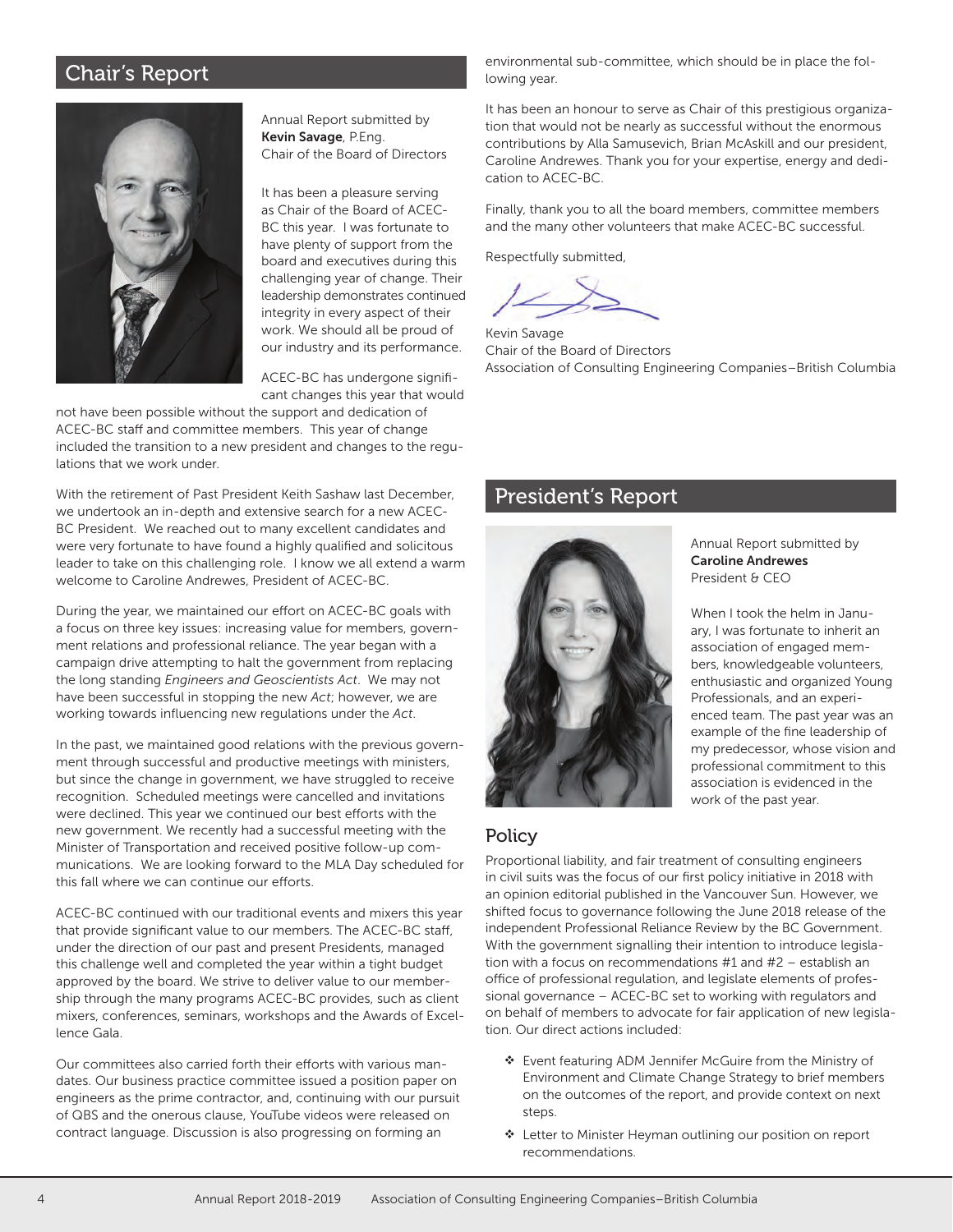### Chair's Report



Annual Report submitted by **Kevin Savage**, P.Eng. Chair of the Board of Directors

It has been a pleasure serving as Chair of the Board of ACEC-BC this year. I was fortunate to have plenty of support from the board and executives during this challenging year of change. Their leadership demonstrates continued integrity in every aspect of their work. We should all be proud of our industry and its performance.

ACEC-BC has undergone signifi cant changes this year that would

not have been possible without the support and dedication of ACEC-BC staff and committee members. This year of change included the transition to a new president and changes to the regulations that we work under.

With the retirement of Past President Keith Sashaw last December, we undertook an in-depth and extensive search for a new ACEC-BC President. We reached out to many excellent candidates and were very fortunate to have found a highly qualified and solicitous leader to take on this challenging role. I know we all extend a warm welcome to Caroline Andrewes, President of ACEC-BC.

During the year, we maintained our effort on ACEC-BC goals with a focus on three key issues: increasing value for members, government relations and professional reliance. The year began with a campaign drive attempting to halt the government from replacing the long standing *Engineers and Geoscientists Act*. We may not have been successful in stopping the new *Act*; however, we are working towards influencing new regulations under the *Act*.

In the past, we maintained good relations with the previous government through successful and productive meetings with ministers, but since the change in government, we have struggled to receive recognition. Scheduled meetings were cancelled and invitations were declined. This year we continued our best efforts with the new government. We recently had a successful meeting with the Minister of Transportation and received positive follow-up communications. We are looking forward to the MLA Day scheduled for this fall where we can continue our efforts.

ACEC-BC continued with our traditional events and mixers this year that provide significant value to our members. The ACEC-BC staff, under the direction of our past and present Presidents, managed this challenge well and completed the year within a tight budget approved by the board. We strive to deliver value to our membership through the many programs ACEC-BC provides, such as client mixers, conferences, seminars, workshops and the Awards of Excellence Gala.

Our committees also carried forth their efforts with various mandates. Our business practice committee issued a position paper on engineers as the prime contractor, and, continuing with our pursuit of QBS and the onerous clause, YouTube videos were released on contract language. Discussion is also progressing on forming an

environmental sub-committee, which should be in place the following year.

It has been an honour to serve as Chair of this prestigious organization that would not be nearly as successful without the enormous contributions by Alla Samusevich, Brian McAskill and our president, Caroline Andrewes. Thank you for your expertise, energy and dedication to ACEC-BC.

Finally, thank you to all the board members, committee members and the many other volunteers that make ACEC-BC successful.

Respectfully submitted,

Kevin Savage Chair of the Board of Directors Association of Consulting Engineering Companies–British Columbia

### President's Report



Annual Report submitted by **Caroline Andrewes** President & CEO

When I took the helm in January, I was fortunate to inherit an association of engaged members, knowledgeable volunteers, enthusiastic and organized Young Professionals, and an experienced team. The past year was an example of the fine leadership of my predecessor, whose vision and professional commitment to this association is evidenced in the work of the past year.

#### Policy

Proportional liability, and fair treatment of consulting engineers in civil suits was the focus of our first policy initiative in 2018 with an opinion editorial published in the Vancouver Sun. However, we shifted focus to governance following the June 2018 release of the independent Professional Reliance Review by the BC Government. With the government signalling their intention to introduce legislation with a focus on recommendations #1 and #2 – establish an office of professional regulation, and legislate elements of professional governance – ACEC-BC set to working with regulators and on behalf of members to advocate for fair application of new legislation. Our direct actions included:

- Event featuring ADM Jennifer McGuire from the Ministry of Environment and Climate Change Strategy to brief members on the outcomes of the report, and provide context on next steps.
- Letter to Minister Heyman outlining our position on report recommendations.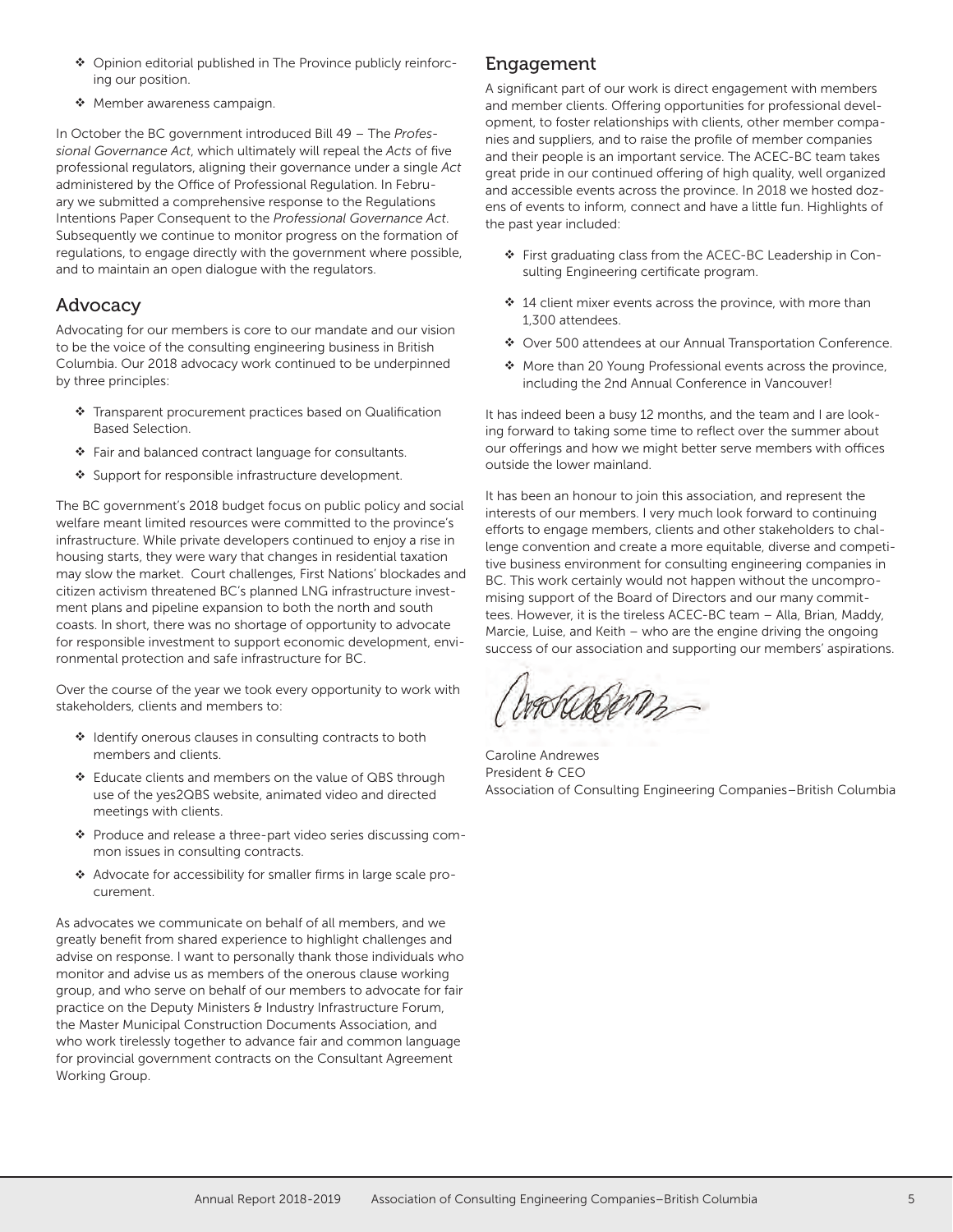- Opinion editorial published in The Province publicly reinforcing our position.
- \* Member awareness campaign.

In October the BC government introduced Bill 49 – The *Profes*sional Governance Act, which ultimately will repeal the Acts of five professional regulators, aligning their governance under a single *Act*  administered by the Office of Professional Regulation. In February we submitted a comprehensive response to the Regulations Intentions Paper Consequent to the *Professional Governance Act*. Subsequently we continue to monitor progress on the formation of regulations, to engage directly with the government where possible, and to maintain an open dialogue with the regulators.

### Advocacy

Advocating for our members is core to our mandate and our vision to be the voice of the consulting engineering business in British Columbia. Our 2018 advocacy work continued to be underpinned by three principles:

- $\cdot$  Transparent procurement practices based on Qualification Based Selection.
- Fair and balanced contract language for consultants.
- \* Support for responsible infrastructure development.

The BC government's 2018 budget focus on public policy and social welfare meant limited resources were committed to the province's infrastructure. While private developers continued to enjoy a rise in housing starts, they were wary that changes in residential taxation may slow the market. Court challenges, First Nations' blockades and citizen activism threatened BC's planned LNG infrastructure investment plans and pipeline expansion to both the north and south coasts. In short, there was no shortage of opportunity to advocate for responsible investment to support economic development, environmental protection and safe infrastructure for BC.

Over the course of the year we took every opportunity to work with stakeholders, clients and members to:

- \* Identify onerous clauses in consulting contracts to both members and clients.
- \* Educate clients and members on the value of QBS through use of the yes2QBS website, animated video and directed meetings with clients.
- \* Produce and release a three-part video series discussing common issues in consulting contracts.
- \* Advocate for accessibility for smaller firms in large scale procurement.

As advocates we communicate on behalf of all members, and we greatly benefit from shared experience to highlight challenges and advise on response. I want to personally thank those individuals who monitor and advise us as members of the onerous clause working group, and who serve on behalf of our members to advocate for fair practice on the Deputy Ministers & Industry Infrastructure Forum, the Master Municipal Construction Documents Association, and who work tirelessly together to advance fair and common language for provincial government contracts on the Consultant Agreement Working Group.

### Engagement

A significant part of our work is direct engagement with members and member clients. Offering opportunities for professional development, to foster relationships with clients, other member companies and suppliers, and to raise the profile of member companies and their people is an important service. The ACEC-BC team takes great pride in our continued offering of high quality, well organized and accessible events across the province. In 2018 we hosted dozens of events to inform, connect and have a little fun. Highlights of the past year included:

- First graduating class from the ACEC-BC Leadership in Consulting Engineering certificate program.
- $\div$  14 client mixer events across the province, with more than 1,300 attendees.
- ◆ Over 500 attendees at our Annual Transportation Conference.
- \* More than 20 Young Professional events across the province, including the 2nd Annual Conference in Vancouver!

It has indeed been a busy 12 months, and the team and I are looking forward to taking some time to reflect over the summer about our offerings and how we might better serve members with offices outside the lower mainland.

It has been an honour to join this association, and represent the interests of our members. I very much look forward to continuing efforts to engage members, clients and other stakeholders to challenge convention and create a more equitable, diverse and competitive business environment for consulting engineering companies in BC. This work certainly would not happen without the uncompromising support of the Board of Directors and our many committees. However, it is the tireless ACEC-BC team – Alla, Brian, Maddy, Marcie, Luise, and Keith – who are the engine driving the ongoing success of our association and supporting our members' aspirations.

I MAY LIVER

Caroline Andrewes President & CEO Association of Consulting Engineering Companies–British Columbia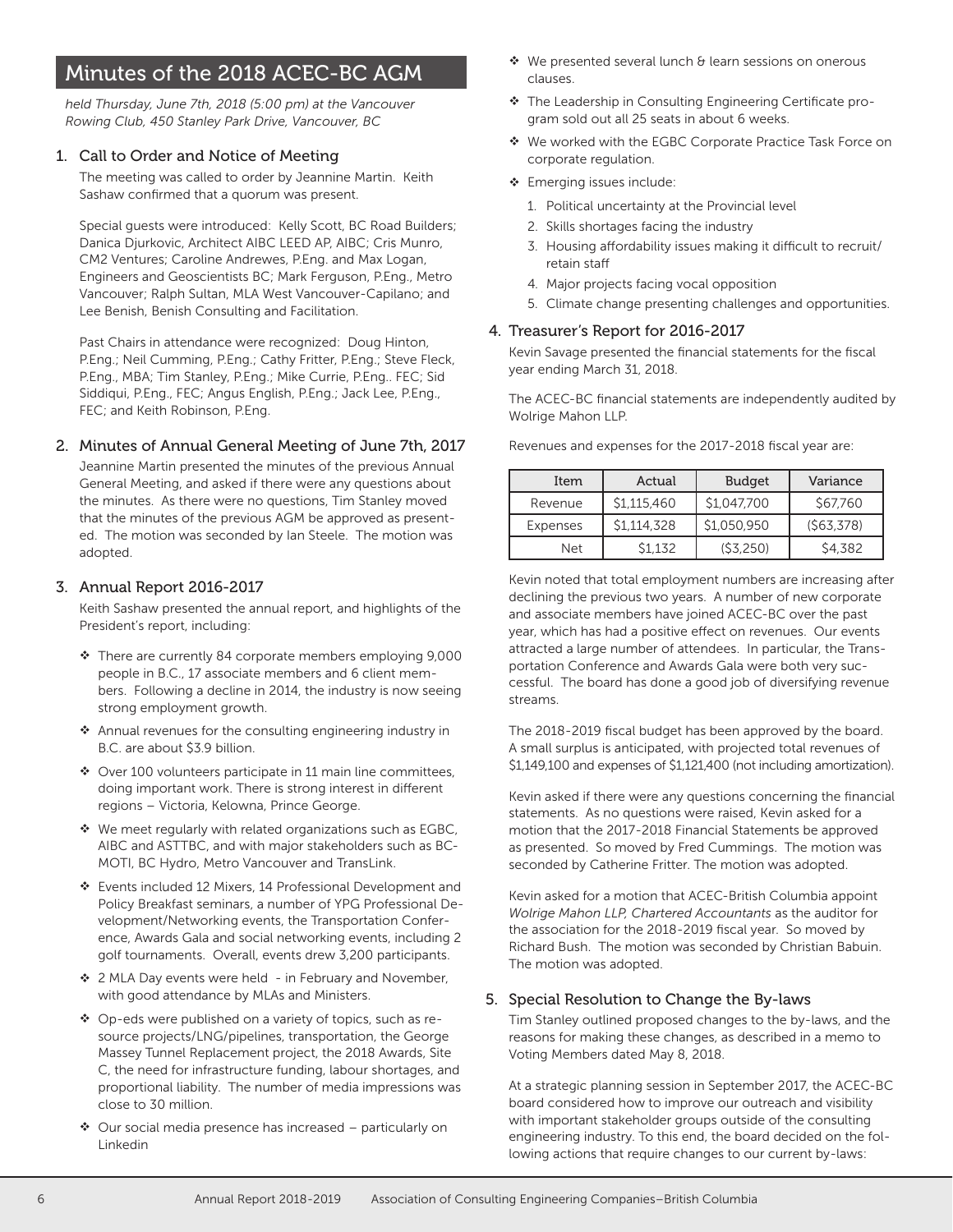### Minutes of the 2018 ACEC-BC AGM

*held Thursday, June 7th, 2018 (5:00 pm) at the Vancouver Rowing Club, 450 Stanley Park Drive, Vancouver, BC*

#### 1. Call to Order and Notice of Meeting

 The meeting was called to order by Jeannine Martin. Keith Sashaw confirmed that a quorum was present.

 Special guests were introduced: Kelly Scott, BC Road Builders; Danica Djurkovic, Architect AIBC LEED AP, AIBC; Cris Munro, CM2 Ventures; Caroline Andrewes, P.Eng. and Max Logan, Engineers and Geoscientists BC; Mark Ferguson, P.Eng., Metro Vancouver; Ralph Sultan, MLA West Vancouver-Capilano; and Lee Benish, Benish Consulting and Facilitation.

 Past Chairs in attendance were recognized: Doug Hinton, P.Eng.; Neil Cumming, P.Eng.; Cathy Fritter, P.Eng.; Steve Fleck, P.Eng., MBA; Tim Stanley, P.Eng.; Mike Currie, P.Eng.. FEC; Sid Siddiqui, P.Eng., FEC; Angus English, P.Eng.; Jack Lee, P.Eng., FEC; and Keith Robinson, P.Eng.

#### 2. Minutes of Annual General Meeting of June 7th, 2017

 Jeannine Martin presented the minutes of the previous Annual General Meeting, and asked if there were any questions about the minutes. As there were no questions, Tim Stanley moved that the minutes of the previous AGM be approved as presented. The motion was seconded by Ian Steele. The motion was adopted.

#### 3. Annual Report 2016-2017

 Keith Sashaw presented the annual report, and highlights of the President's report, including:

- \* There are currently 84 corporate members employing 9,000 people in B.C., 17 associate members and 6 client members. Following a decline in 2014, the industry is now seeing strong employment growth.
- Annual revenues for the consulting engineering industry in B.C. are about \$3.9 billion.
- \* Over 100 volunteers participate in 11 main line committees, doing important work. There is strong interest in different regions – Victoria, Kelowna, Prince George.
- \* We meet regularly with related organizations such as EGBC, AIBC and ASTTBC, and with major stakeholders such as BC-MOTI, BC Hydro, Metro Vancouver and TransLink.
- Events included 12 Mixers, 14 Professional Development and Policy Breakfast seminars, a number of YPG Professional Development/Networking events, the Transportation Conference, Awards Gala and social networking events, including 2 golf tournaments. Overall, events drew 3,200 participants.
- ❖ 2 MLA Day events were held in February and November, with good attendance by MLAs and Ministers.
- \* Op-eds were published on a variety of topics, such as resource projects/LNG/pipelines, transportation, the George Massey Tunnel Replacement project, the 2018 Awards, Site C, the need for infrastructure funding, labour shortages, and proportional liability. The number of media impressions was close to 30 million.
- Our social media presence has increased particularly on Linkedin
- $\cdot$  We presented several lunch & learn sessions on onerous clauses.
- \* The Leadership in Consulting Engineering Certificate program sold out all 25 seats in about 6 weeks.
- We worked with the EGBC Corporate Practice Task Force on corporate regulation.
- \* Emerging issues include:
	- 1. Political uncertainty at the Provincial level
	- 2. Skills shortages facing the industry
	- 3. Housing affordability issues making it difficult to recruit/ retain staff
	- 4. Major projects facing vocal opposition
	- 5. Climate change presenting challenges and opportunities.

#### 4. Treasurer's Report for 2016-2017

Kevin Savage presented the financial statements for the fiscal year ending March 31, 2018.

The ACEC-BC financial statements are independently audited by Wolrige Mahon LLP.

Revenues and expenses for the 2017-2018 fiscal year are:

| Item     | Actual      | <b>Budget</b> | Variance   |
|----------|-------------|---------------|------------|
| Revenue  | \$1,115,460 | \$1,047,700   | \$67,760   |
| Expenses | \$1,114,328 | \$1,050,950   | (S63, 378) |
| Net      | \$1.132     | (S3.250)      | \$4,382    |

 Kevin noted that total employment numbers are increasing after declining the previous two years. A number of new corporate and associate members have joined ACEC-BC over the past year, which has had a positive effect on revenues. Our events attracted a large number of attendees. In particular, the Transportation Conference and Awards Gala were both very successful. The board has done a good job of diversifying revenue streams.

The 2018-2019 fiscal budget has been approved by the board. A small surplus is anticipated, with projected total revenues of \$1,149,100 and expenses of \$1,121,400 (not including amortization).

Kevin asked if there were any questions concerning the financial statements. As no questions were raised, Kevin asked for a motion that the 2017-2018 Financial Statements be approved as presented. So moved by Fred Cummings. The motion was seconded by Catherine Fritter. The motion was adopted.

 Kevin asked for a motion that ACEC-British Columbia appoint *Wolrige Mahon LLP, Chartered Accountants* as the auditor for the association for the 2018-2019 fiscal year. So moved by Richard Bush. The motion was seconded by Christian Babuin. The motion was adopted.

#### 5. Special Resolution to Change the By-laws

 Tim Stanley outlined proposed changes to the by-laws, and the reasons for making these changes, as described in a memo to Voting Members dated May 8, 2018.

 At a strategic planning session in September 2017, the ACEC-BC board considered how to improve our outreach and visibility with important stakeholder groups outside of the consulting engineering industry. To this end, the board decided on the following actions that require changes to our current by-laws: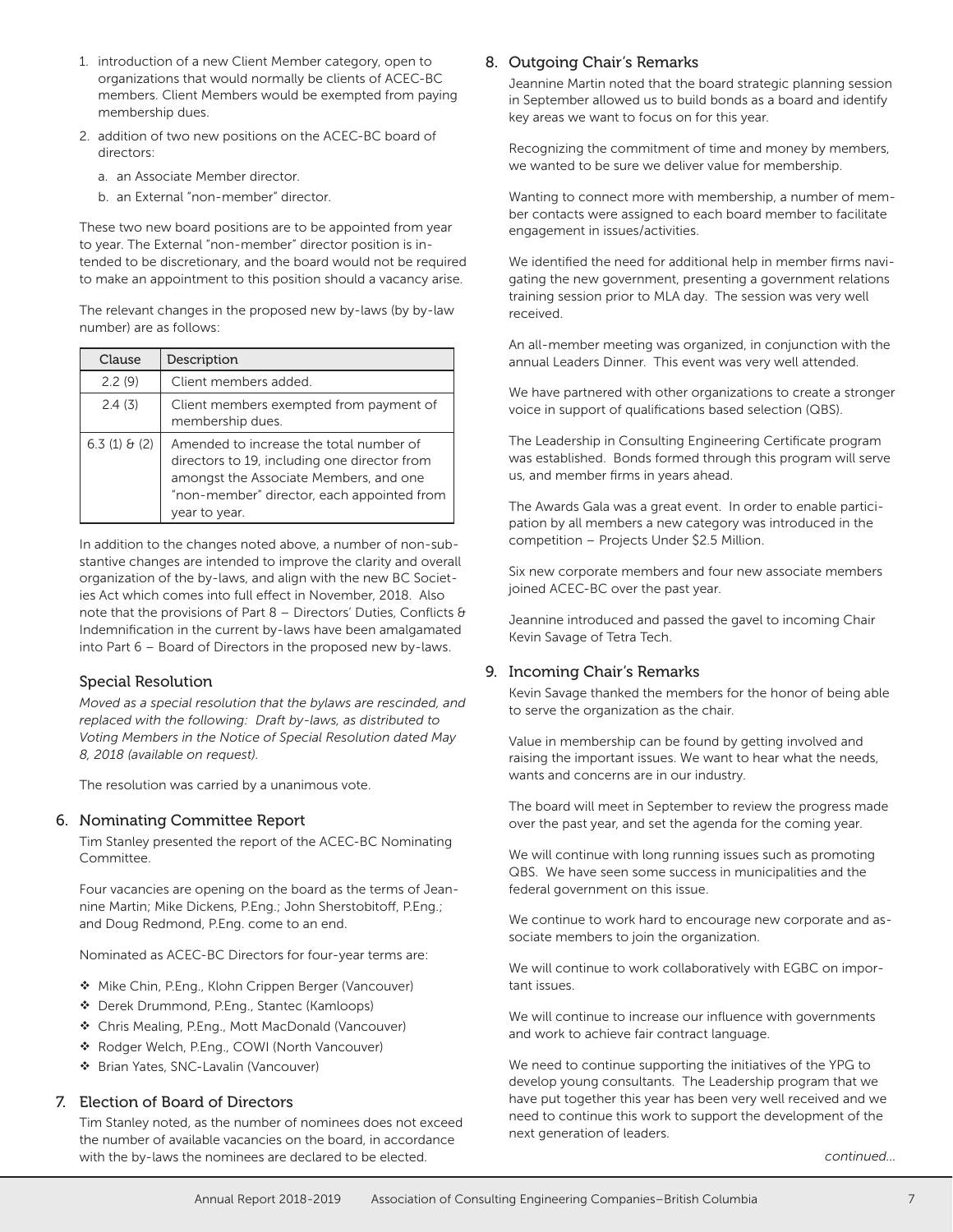- 1. introduction of a new Client Member category, open to organizations that would normally be clients of ACEC-BC members. Client Members would be exempted from paying membership dues.
- 2. addition of two new positions on the ACEC-BC board of directors:
	- a. an Associate Member director.
	- b. an External "non-member" director.

 These two new board positions are to be appointed from year to year. The External "non-member" director position is intended to be discretionary, and the board would not be required to make an appointment to this position should a vacancy arise.

 The relevant changes in the proposed new by-laws (by by-law number) are as follows:

| Clause             | Description                                                                                                                                                                                      |
|--------------------|--------------------------------------------------------------------------------------------------------------------------------------------------------------------------------------------------|
| 2.2(9)             | Client members added.                                                                                                                                                                            |
| 2.4(3)             | Client members exempted from payment of<br>membership dues.                                                                                                                                      |
| $6.3(1) \theta(2)$ | Amended to increase the total number of<br>directors to 19, including one director from<br>amongst the Associate Members, and one<br>"non-member" director, each appointed from<br>year to year. |

 In addition to the changes noted above, a number of non-substantive changes are intended to improve the clarity and overall organization of the by-laws, and align with the new BC Societies Act which comes into full effect in November, 2018. Also note that the provisions of Part  $8$  – Directors' Duties, Conflicts  $\theta$ Indemnification in the current by-laws have been amalgamated into Part 6 – Board of Directors in the proposed new by-laws.

#### Special Resolution

*Moved as a special resolution that the bylaws are rescinded, and replaced with the following: Draft by-laws, as distributed to Voting Members in the Notice of Special Resolution dated May 8, 2018 (available on request).*

The resolution was carried by a unanimous vote.

#### 6. Nominating Committee Report

 Tim Stanley presented the report of the ACEC-BC Nominating Committee.

 Four vacancies are opening on the board as the terms of Jeannine Martin; Mike Dickens, P.Eng.; John Sherstobitoff, P.Eng.; and Doug Redmond, P.Eng. come to an end.

Nominated as ACEC-BC Directors for four-year terms are:

- Mike Chin, P.Eng., Klohn Crippen Berger (Vancouver)
- \* Derek Drummond, P.Eng., Stantec (Kamloops)
- Chris Mealing, P.Eng., Mott MacDonald (Vancouver)
- \* Rodger Welch, P.Eng., COWI (North Vancouver)
- Brian Yates, SNC-Lavalin (Vancouver)

#### 7. Election of Board of Directors

 Tim Stanley noted, as the number of nominees does not exceed the number of available vacancies on the board, in accordance with the by-laws the nominees are declared to be elected.

#### 8. Outgoing Chair's Remarks

 Jeannine Martin noted that the board strategic planning session in September allowed us to build bonds as a board and identify key areas we want to focus on for this year.

 Recognizing the commitment of time and money by members, we wanted to be sure we deliver value for membership.

 Wanting to connect more with membership, a number of member contacts were assigned to each board member to facilitate engagement in issues/activities.

We identified the need for additional help in member firms navigating the new government, presenting a government relations training session prior to MLA day. The session was very well received.

 An all-member meeting was organized, in conjunction with the annual Leaders Dinner. This event was very well attended.

 We have partnered with other organizations to create a stronger voice in support of qualifications based selection (QBS).

The Leadership in Consulting Engineering Certificate program was established. Bonds formed through this program will serve us, and member firms in years ahead.

 The Awards Gala was a great event. In order to enable participation by all members a new category was introduced in the competition – Projects Under \$2.5 Million.

 Six new corporate members and four new associate members joined ACEC-BC over the past year.

 Jeannine introduced and passed the gavel to incoming Chair Kevin Savage of Tetra Tech.

#### 9. Incoming Chair's Remarks

 Kevin Savage thanked the members for the honor of being able to serve the organization as the chair.

 Value in membership can be found by getting involved and raising the important issues. We want to hear what the needs, wants and concerns are in our industry.

 The board will meet in September to review the progress made over the past year, and set the agenda for the coming year.

 We will continue with long running issues such as promoting QBS. We have seen some success in municipalities and the federal government on this issue.

 We continue to work hard to encourage new corporate and associate members to join the organization.

 We will continue to work collaboratively with EGBC on important issues.

We will continue to increase our influence with governments and work to achieve fair contract language.

 We need to continue supporting the initiatives of the YPG to develop young consultants. The Leadership program that we have put together this year has been very well received and we need to continue this work to support the development of the next generation of leaders.

*continued...*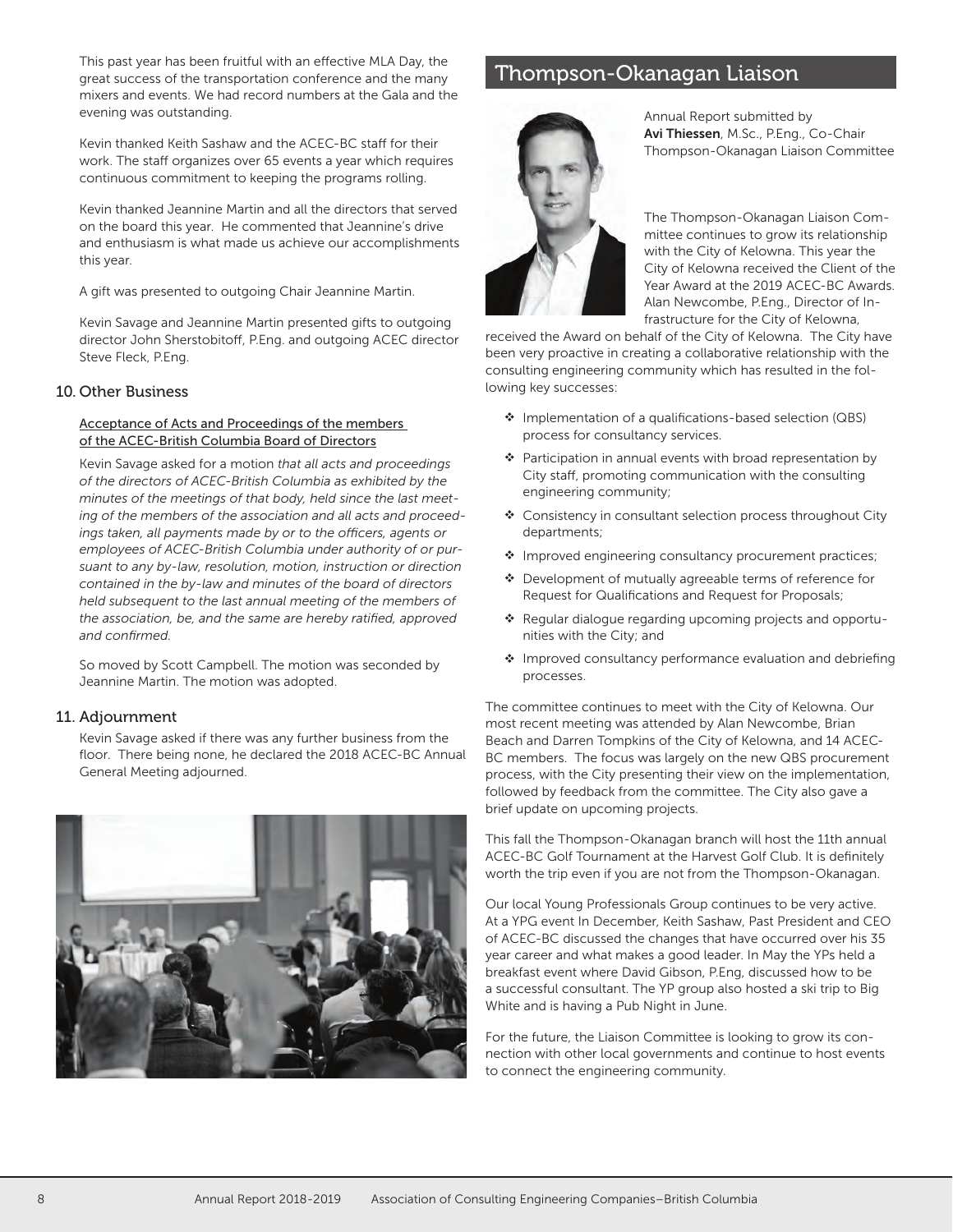This past year has been fruitful with an effective MLA Day, the great success of the transportation conference and the many mixers and events. We had record numbers at the Gala and the evening was outstanding.

 Kevin thanked Keith Sashaw and the ACEC-BC staff for their work. The staff organizes over 65 events a year which requires continuous commitment to keeping the programs rolling.

 Kevin thanked Jeannine Martin and all the directors that served on the board this year. He commented that Jeannine's drive and enthusiasm is what made us achieve our accomplishments this year.

A gift was presented to outgoing Chair Jeannine Martin.

 Kevin Savage and Jeannine Martin presented gifts to outgoing director John Sherstobitoff, P.Eng. and outgoing ACEC director Steve Fleck, P.Eng.

#### 10. Other Business

#### Acceptance of Acts and Proceedings of the members of the ACEC-British Columbia Board of Directors

 Kevin Savage asked for a motion *that all acts and proceedings of the directors of ACEC-British Columbia as exhibited by the minutes of the meetings of that body, held since the last meeting of the members of the association and all acts and proceed*ings taken, all payments made by or to the officers, agents or *employees of ACEC-British Columbia under authority of or pursuant to any by-law, resolution, motion, instruction or direction contained in the by-law and minutes of the board of directors held subsequent to the last annual meeting of the members of*  the association, be, and the same are hereby ratified, approved and confirmed.

 So moved by Scott Campbell. The motion was seconded by Jeannine Martin. The motion was adopted.

#### 11. Adjournment

 Kevin Savage asked if there was any further business from the floor. There being none, he declared the 2018 ACEC-BC Annual General Meeting adjourned.



### Thompson-Okanagan Liaison



Annual Report submitted by **Avi Thiessen**, M.Sc., P.Eng., Co-Chair Thompson-Okanagan Liaison Committee

The Thompson-Okanagan Liaison Committee continues to grow its relationship with the City of Kelowna. This year the City of Kelowna received the Client of the Year Award at the 2019 ACEC-BC Awards. Alan Newcombe, P.Eng., Director of Infrastructure for the City of Kelowna,

received the Award on behalf of the City of Kelowna. The City have been very proactive in creating a collaborative relationship with the consulting engineering community which has resulted in the following key successes:

- \* Implementation of a qualifications-based selection (QBS) process for consultancy services.
- ◆ Participation in annual events with broad representation by City staff, promoting communication with the consulting engineering community;
- ◆ Consistency in consultant selection process throughout City departments;
- \* Improved engineering consultancy procurement practices;
- Development of mutually agreeable terms of reference for Request for Qualifications and Request for Proposals;
- \* Regular dialogue regarding upcoming projects and opportunities with the City; and
- \* Improved consultancy performance evaluation and debriefing processes.

The committee continues to meet with the City of Kelowna. Our most recent meeting was attended by Alan Newcombe, Brian Beach and Darren Tompkins of the City of Kelowna, and 14 ACEC-BC members. The focus was largely on the new QBS procurement process, with the City presenting their view on the implementation, followed by feedback from the committee. The City also gave a brief update on upcoming projects.

This fall the Thompson-Okanagan branch will host the 11th annual ACEC-BC Golf Tournament at the Harvest Golf Club. It is definitely worth the trip even if you are not from the Thompson-Okanagan.

Our local Young Professionals Group continues to be very active. At a YPG event In December, Keith Sashaw, Past President and CEO of ACEC-BC discussed the changes that have occurred over his 35 year career and what makes a good leader. In May the YPs held a breakfast event where David Gibson, P.Eng, discussed how to be a successful consultant. The YP group also hosted a ski trip to Big White and is having a Pub Night in June.

For the future, the Liaison Committee is looking to grow its connection with other local governments and continue to host events to connect the engineering community.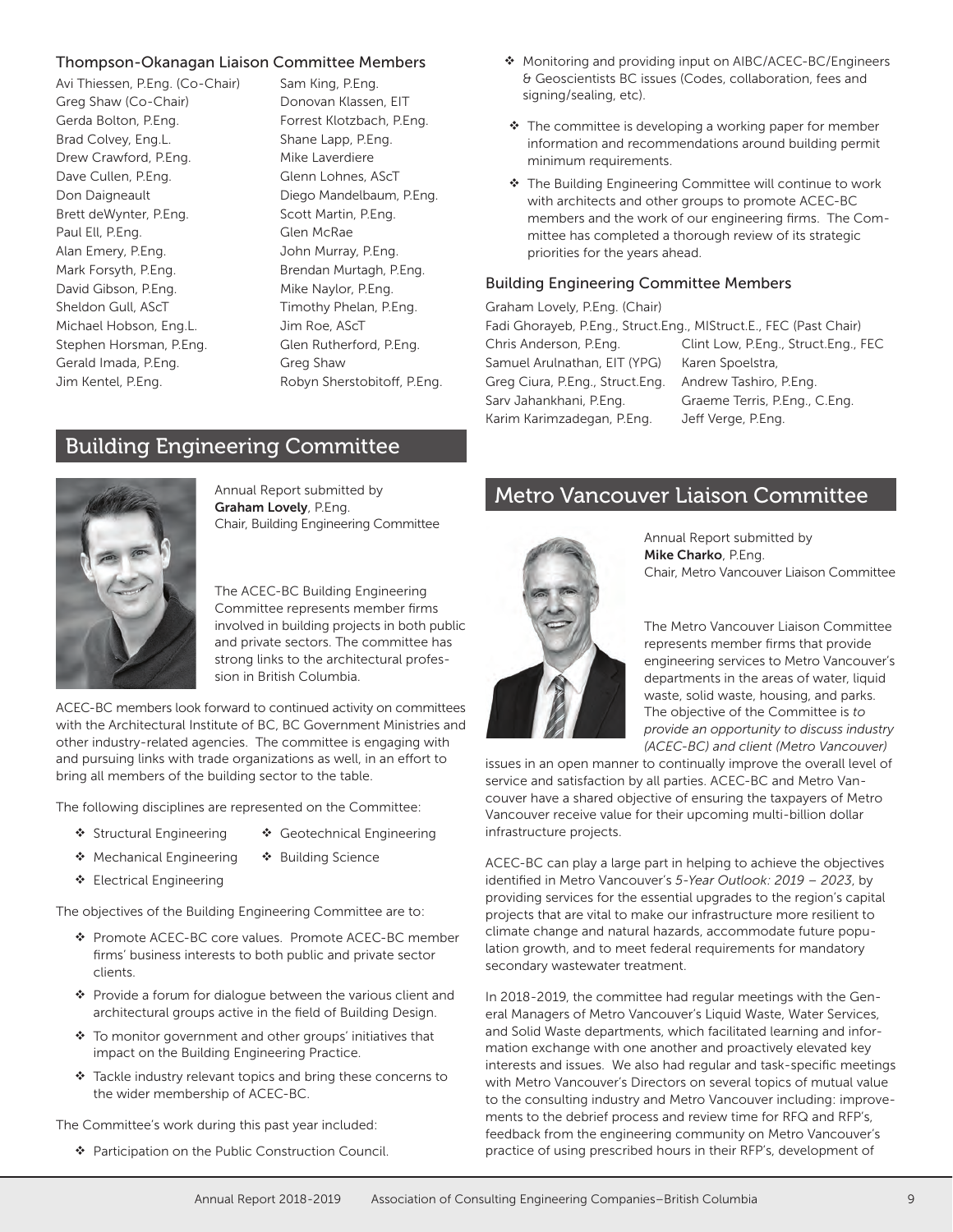#### Thompson-Okanagan Liaison Committee Members

Avi Thiessen, P.Eng. (Co-Chair) Sam King, P.Eng. Greg Shaw (Co-Chair) Donovan Klassen, EIT Gerda Bolton, P.Eng. The State of Forrest Klotzbach, P.Eng. Brad Colvey, Eng.L. Shane Lapp, P.Eng. Drew Crawford, P.Eng. Mike Laverdiere Dave Cullen, P.Eng. Glenn Lohnes, AScT Brett deWynter, P.Eng. Scott Martin, P.Eng. Paul Ell, P.Eng. Clen McRae Alan Emery, P.Eng. John Murray, P.Eng. Mark Forsyth, P.Eng. Brendan Murtagh, P.Eng. David Gibson, P.Eng. Mike Naylor, P.Eng. Sheldon Gull, AScT Timothy Phelan, P.Eng. Michael Hobson, Eng.L. Jim Roe, AScT Stephen Horsman, P.Eng. Glen Rutherford, P.Eng. Gerald Imada, P.Eng. Greg Shaw Jim Kentel, P.Eng. The Robyn Sherstobitoff, P.Eng.

Don Daigneault **Diego Mandelbaum, P.Eng.** 

- Monitoring and providing input on AIBC/ACEC-BC/Engineers & Geoscientists BC issues (Codes, collaboration, fees and signing/sealing, etc).
- $\cdot$  The committee is developing a working paper for member information and recommendations around building permit minimum requirements.
- The Building Engineering Committee will continue to work with architects and other groups to promote ACEC-BC members and the work of our engineering firms. The Committee has completed a thorough review of its strategic priorities for the years ahead.

#### Building Engineering Committee Members

#### Graham Lovely, P.Eng. (Chair)

Fadi Ghorayeb, P.Eng., Struct.Eng., MIStruct.E., FEC (Past Chair) Samuel Arulnathan, EIT (YPG) Karen Spoelstra, Greg Ciura, P.Eng., Struct.Eng. Andrew Tashiro, P.Eng. Karim Karimzadegan, P.Eng. Jeff Verge, P.Eng.

Chris Anderson, P.Eng. Clint Low, P.Eng., Struct.Eng., FEC Sarv Jahankhani, P.Eng. Graeme Terris, P.Eng., C.Eng.

### Building Engineering Committee



Annual Report submitted by **Graham Lovely**, P.Eng. Chair, Building Engineering Committee

The ACEC-BC Building Engineering Committee represents member firms involved in building projects in both public and private sectors. The committee has strong links to the architectural profession in British Columbia.

ACEC-BC members look forward to continued activity on committees with the Architectural Institute of BC, BC Government Ministries and other industry-related agencies. The committee is engaging with and pursuing links with trade organizations as well, in an effort to bring all members of the building sector to the table.

The following disciplines are represented on the Committee:

- ◆ Structural Engineering
- ◆ Geotechnical Engineering

◆ Building Science

- \* Mechanical Engineering
- Electrical Engineering

The objectives of the Building Engineering Committee are to:

- \* Promote ACEC-BC core values. Promote ACEC-BC member firms' business interests to both public and private sector clients.
- \* Provide a forum for dialogue between the various client and architectural groups active in the field of Building Design.
- \* To monitor government and other groups' initiatives that impact on the Building Engineering Practice.
- \* Tackle industry relevant topics and bring these concerns to the wider membership of ACEC-BC.

The Committee's work during this past year included:

◆ Participation on the Public Construction Council.

### Metro Vancouver Liaison Committee



Annual Report submitted by **Mike Charko**, P.Eng. Chair, Metro Vancouver Liaison Committee

The Metro Vancouver Liaison Committee represents member firms that provide engineering services to Metro Vancouver's departments in the areas of water, liquid waste, solid waste, housing, and parks. The objective of the Committee is *to provide an opportunity to discuss industry (ACEC-BC) and client (Metro Vancouver)* 

issues in an open manner to continually improve the overall level of service and satisfaction by all parties. ACEC-BC and Metro Vancouver have a shared objective of ensuring the taxpayers of Metro Vancouver receive value for their upcoming multi-billion dollar infrastructure projects.

ACEC-BC can play a large part in helping to achieve the objectives identified in Metro Vancouver's 5-Year Outlook: 2019 - 2023, by providing services for the essential upgrades to the region's capital projects that are vital to make our infrastructure more resilient to climate change and natural hazards, accommodate future population growth, and to meet federal requirements for mandatory secondary wastewater treatment.

In 2018-2019, the committee had regular meetings with the General Managers of Metro Vancouver's Liquid Waste, Water Services, and Solid Waste departments, which facilitated learning and information exchange with one another and proactively elevated key interests and issues. We also had regular and task-specific meetings with Metro Vancouver's Directors on several topics of mutual value to the consulting industry and Metro Vancouver including: improvements to the debrief process and review time for RFQ and RFP's, feedback from the engineering community on Metro Vancouver's practice of using prescribed hours in their RFP's, development of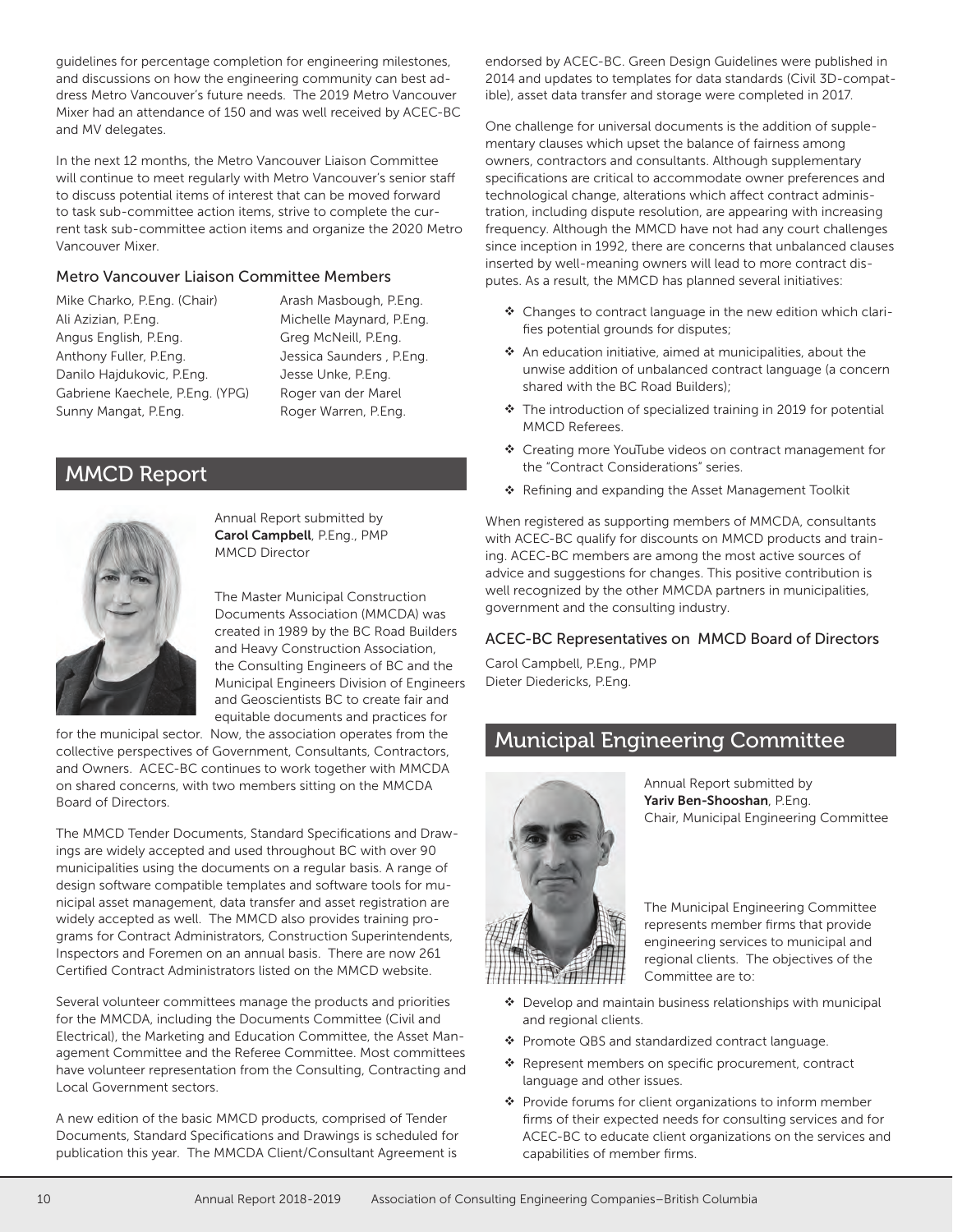guidelines for percentage completion for engineering milestones, and discussions on how the engineering community can best address Metro Vancouver's future needs. The 2019 Metro Vancouver Mixer had an attendance of 150 and was well received by ACEC-BC and MV delegates.

In the next 12 months, the Metro Vancouver Liaison Committee will continue to meet regularly with Metro Vancouver's senior staff to discuss potential items of interest that can be moved forward to task sub-committee action items, strive to complete the current task sub-committee action items and organize the 2020 Metro Vancouver Mixer.

#### Metro Vancouver Liaison Committee Members

Mike Charko, P.Eng. (Chair) Arash Masbough, P.Eng. Ali Azizian, P.Eng. Michelle Maynard, P.Eng. Angus English, P.Eng. Greg McNeill, P.Eng. Anthony Fuller, P.Eng. The Mussica Saunders, P.Eng. Danilo Hajdukovic, P.Eng. Jesse Unke, P.Eng. Gabriene Kaechele, P.Eng. (YPG) Roger van der Marel Sunny Mangat, P.Eng. Roger Warren, P.Eng.

### MMCD Report



Annual Report submitted by **Carol Campbell**, P.Eng., PMP MMCD Director

The Master Municipal Construction Documents Association (MMCDA) was created in 1989 by the BC Road Builders and Heavy Construction Association, the Consulting Engineers of BC and the Municipal Engineers Division of Engineers and Geoscientists BC to create fair and equitable documents and practices for

for the municipal sector. Now, the association operates from the collective perspectives of Government, Consultants, Contractors, and Owners. ACEC-BC continues to work together with MMCDA on shared concerns, with two members sitting on the MMCDA Board of Directors.

The MMCD Tender Documents, Standard Specifications and Drawings are widely accepted and used throughout BC with over 90 municipalities using the documents on a regular basis. A range of design software compatible templates and software tools for municipal asset management, data transfer and asset registration are widely accepted as well. The MMCD also provides training programs for Contract Administrators, Construction Superintendents, Inspectors and Foremen on an annual basis. There are now 261 Certified Contract Administrators listed on the MMCD website.

Several volunteer committees manage the products and priorities for the MMCDA, including the Documents Committee (Civil and Electrical), the Marketing and Education Committee, the Asset Management Committee and the Referee Committee. Most committees have volunteer representation from the Consulting, Contracting and Local Government sectors.

A new edition of the basic MMCD products, comprised of Tender Documents, Standard Specifications and Drawings is scheduled for publication this year. The MMCDA Client/Consultant Agreement is

endorsed by ACEC-BC. Green Design Guidelines were published in 2014 and updates to templates for data standards (Civil 3D-compatible), asset data transfer and storage were completed in 2017.

One challenge for universal documents is the addition of supplementary clauses which upset the balance of fairness among owners, contractors and consultants. Although supplementary specifications are critical to accommodate owner preferences and technological change, alterations which affect contract administration, including dispute resolution, are appearing with increasing frequency. Although the MMCD have not had any court challenges since inception in 1992, there are concerns that unbalanced clauses inserted by well-meaning owners will lead to more contract disputes. As a result, the MMCD has planned several initiatives:

- \* Changes to contract language in the new edition which clarifies potential grounds for disputes;
- $\cdot$  An education initiative, aimed at municipalities, about the unwise addition of unbalanced contract language (a concern shared with the BC Road Builders);
- \* The introduction of specialized training in 2019 for potential MMCD Referees.
- Creating more YouTube videos on contract management for the "Contract Considerations" series.
- \* Refining and expanding the Asset Management Toolkit

When registered as supporting members of MMCDA, consultants with ACEC-BC qualify for discounts on MMCD products and training. ACEC-BC members are among the most active sources of advice and suggestions for changes. This positive contribution is well recognized by the other MMCDA partners in municipalities, government and the consulting industry.

#### ACEC-BC Representatives on MMCD Board of Directors

Carol Campbell, P.Eng., PMP Dieter Diedericks, P.Eng.

### Municipal Engineering Committee



Annual Report submitted by **Yariv Ben-Shooshan**, P.Eng. Chair, Municipal Engineering Committee

The Municipal Engineering Committee represents member firms that provide engineering services to municipal and regional clients. The objectives of the Committee are to:

- $\cdot$  Develop and maintain business relationships with municipal and regional clients.
- \* Promote QBS and standardized contract language.
- $\triangle$  Represent members on specific procurement, contract language and other issues.
- \* Provide forums for client organizations to inform member firms of their expected needs for consulting services and for ACEC-BC to educate client organizations on the services and capabilities of member firms.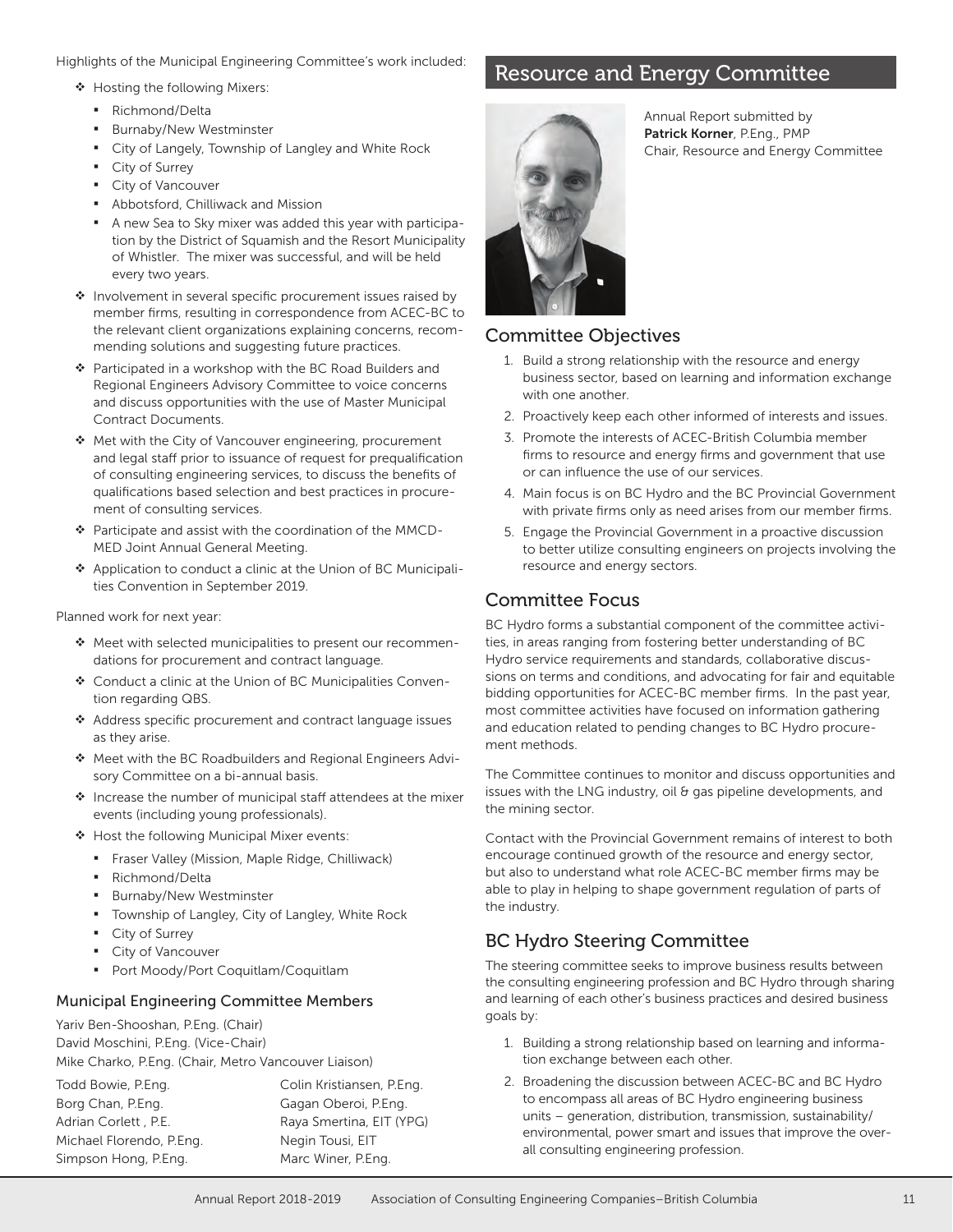Highlights of the Municipal Engineering Committee's work included:

- \* Hosting the following Mixers:
	- Richmond/Delta
	- Burnaby/New Westminster
	- **City of Langely, Township of Langley and White Rock**
	- City of Surrey
	- **City of Vancouver**
	- Abbotsford, Chilliwack and Mission
	- A new Sea to Sky mixer was added this year with participation by the District of Squamish and the Resort Municipality of Whistler. The mixer was successful, and will be held every two years.
- $\cdot$  Involvement in several specific procurement issues raised by member firms, resulting in correspondence from ACEC-BC to the relevant client organizations explaining concerns, recommending solutions and suggesting future practices.
- ◆ Participated in a workshop with the BC Road Builders and Regional Engineers Advisory Committee to voice concerns and discuss opportunities with the use of Master Municipal Contract Documents.
- ◆ Met with the City of Vancouver engineering, procurement and legal staff prior to issuance of request for prequalification of consulting engineering services, to discuss the benefits of qualifications based selection and best practices in procurement of consulting services.
- ❖ Participate and assist with the coordination of the MMCD-MED Joint Annual General Meeting.
- \* Application to conduct a clinic at the Union of BC Municipalities Convention in September 2019.

#### Planned work for next year:

- Meet with selected municipalities to present our recommendations for procurement and contract language.
- Conduct a clinic at the Union of BC Municipalities Convention regarding QBS.
- \* Address specific procurement and contract language issues as they arise.
- Meet with the BC Roadbuilders and Regional Engineers Advisory Committee on a bi-annual basis.
- $\cdot$  Increase the number of municipal staff attendees at the mixer events (including young professionals).
- \* Host the following Municipal Mixer events:
	- **Fraser Valley (Mission, Maple Ridge, Chilliwack)**
	- Richmond/Delta
	- Burnaby/New Westminster
	- **Township of Langley, City of Langley, White Rock**
	- City of Surrey
	- **City of Vancouver**
	- **Port Moody/Port Coquitlam/Coquitlam**

#### Municipal Engineering Committee Members

Yariv Ben-Shooshan, P.Eng. (Chair) David Moschini, P.Eng. (Vice-Chair) Mike Charko, P.Eng. (Chair, Metro Vancouver Liaison)

Todd Bowie, P.Eng. Todd Bowie, P.Eng. Borg Chan, P.Eng. **Example 20 Gagan Oberoi, P.Eng.** Adrian Corlett , P.E. Raya Smertina, EIT (YPG) Michael Florendo, P.Eng. Negin Tousi, EIT Simpson Hong, P.Eng. Marc Winer, P.Eng.

### Resource and Energy Committee



Annual Report submitted by **Patrick Korner**, P.Eng., PMP Chair, Resource and Energy Committee

#### Committee Objectives

- 1. Build a strong relationship with the resource and energy business sector, based on learning and information exchange with one another.
- 2. Proactively keep each other informed of interests and issues.
- 3. Promote the interests of ACEC-British Columbia member firms to resource and energy firms and government that use or can influence the use of our services.
- 4. Main focus is on BC Hydro and the BC Provincial Government with private firms only as need arises from our member firms.
- 5. Engage the Provincial Government in a proactive discussion to better utilize consulting engineers on projects involving the resource and energy sectors.

### Committee Focus

BC Hydro forms a substantial component of the committee activities, in areas ranging from fostering better understanding of BC Hydro service requirements and standards, collaborative discussions on terms and conditions, and advocating for fair and equitable bidding opportunities for ACEC-BC member firms. In the past year, most committee activities have focused on information gathering and education related to pending changes to BC Hydro procurement methods.

The Committee continues to monitor and discuss opportunities and issues with the LNG industry, oil & gas pipeline developments, and the mining sector.

Contact with the Provincial Government remains of interest to both encourage continued growth of the resource and energy sector, but also to understand what role ACEC-BC member firms may be able to play in helping to shape government regulation of parts of the industry.

### BC Hydro Steering Committee

The steering committee seeks to improve business results between the consulting engineering profession and BC Hydro through sharing and learning of each other's business practices and desired business goals by:

- 1. Building a strong relationship based on learning and information exchange between each other.
- 2. Broadening the discussion between ACEC-BC and BC Hydro to encompass all areas of BC Hydro engineering business units – generation, distribution, transmission, sustainability/ environmental, power smart and issues that improve the overall consulting engineering profession.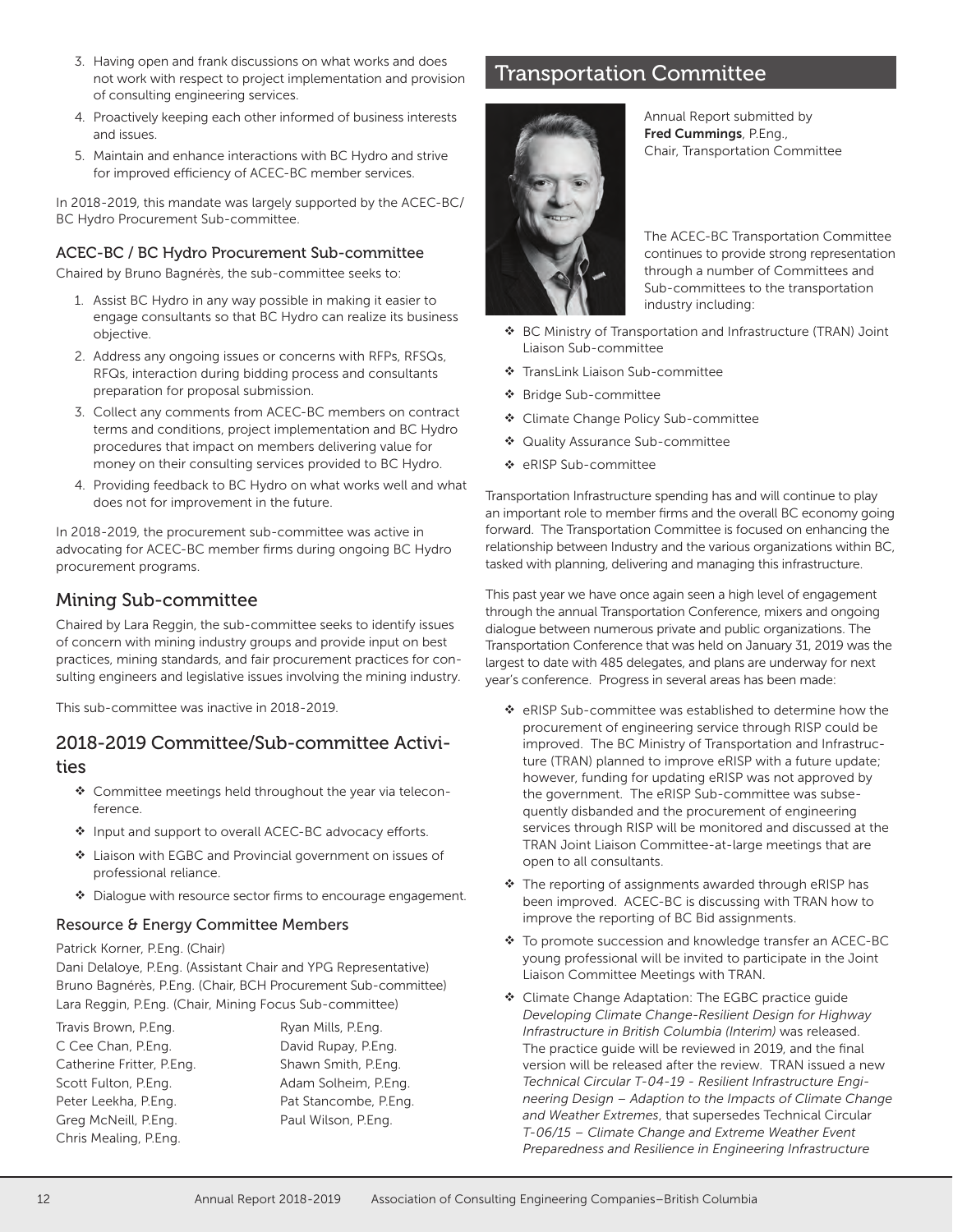- 3. Having open and frank discussions on what works and does not work with respect to project implementation and provision of consulting engineering services.
- 4. Proactively keeping each other informed of business interests and issues.
- 5. Maintain and enhance interactions with BC Hydro and strive for improved efficiency of ACEC-BC member services.

In 2018-2019, this mandate was largely supported by the ACEC-BC/ BC Hydro Procurement Sub-committee.

#### ACEC-BC / BC Hydro Procurement Sub-committee

Chaired by Bruno Bagnérès, the sub-committee seeks to:

- 1. Assist BC Hydro in any way possible in making it easier to engage consultants so that BC Hydro can realize its business objective.
- 2. Address any ongoing issues or concerns with RFPs, RFSQs, RFQs, interaction during bidding process and consultants preparation for proposal submission.
- 3. Collect any comments from ACEC-BC members on contract terms and conditions, project implementation and BC Hydro procedures that impact on members delivering value for money on their consulting services provided to BC Hydro.
- 4. Providing feedback to BC Hydro on what works well and what does not for improvement in the future.

In 2018-2019, the procurement sub-committee was active in advocating for ACEC-BC member firms during ongoing BC Hydro procurement programs.

### Mining Sub-committee

Chaired by Lara Reggin, the sub-committee seeks to identify issues of concern with mining industry groups and provide input on best practices, mining standards, and fair procurement practices for consulting engineers and legislative issues involving the mining industry.

This sub-committee was inactive in 2018-2019.

#### 2018-2019 Committee/Sub-committee Activities

- \* Committee meetings held throughout the year via teleconference.
- \* Input and support to overall ACEC-BC advocacy efforts.
- Liaison with EGBC and Provincial government on issues of professional reliance.
- $\cdot$  Dialogue with resource sector firms to encourage engagement.

#### Resource & Energy Committee Members

Patrick Korner, P.Eng. (Chair)

Dani Delaloye, P.Eng. (Assistant Chair and YPG Representative) Bruno Bagnérès, P.Eng. (Chair, BCH Procurement Sub-committee) Lara Reggin, P.Eng. (Chair, Mining Focus Sub-committee)

Travis Brown, P.Eng. Ryan Mills, P.Eng. C Cee Chan, P.Eng. David Rupay, P.Eng. Catherine Fritter, P.Eng. Shawn Smith, P.Eng. Greg McNeill, P.Eng. Paul Wilson, P.Eng. Chris Mealing, P.Eng.

Scott Fulton, P.Eng. **Adam Solheim, P.Eng.** P.Eng. Peter Leekha, P.Eng. Pat Stancombe, P.Eng.

### Transportation Committee



Annual Report submitted by **Fred Cummings**, P.Eng., Chair, Transportation Committee

The ACEC-BC Transportation Committee continues to provide strong representation through a number of Committees and Sub-committees to the transportation industry including:

- BC Ministry of Transportation and Infrastructure (TRAN) Joint Liaison Sub-committee
- \* TransLink Liaison Sub-committee
- Bridge Sub-committee
- ◆ Climate Change Policy Sub-committee
- \* Quality Assurance Sub-committee
- eRISP Sub-committee

Transportation Infrastructure spending has and will continue to play an important role to member firms and the overall BC economy going forward. The Transportation Committee is focused on enhancing the relationship between Industry and the various organizations within BC, tasked with planning, delivering and managing this infrastructure.

This past year we have once again seen a high level of engagement through the annual Transportation Conference, mixers and ongoing dialogue between numerous private and public organizations. The Transportation Conference that was held on January 31, 2019 was the largest to date with 485 delegates, and plans are underway for next year's conference. Progress in several areas has been made:

- eRISP Sub-committee was established to determine how the procurement of engineering service through RISP could be improved. The BC Ministry of Transportation and Infrastructure (TRAN) planned to improve eRISP with a future update; however, funding for updating eRISP was not approved by the government. The eRISP Sub-committee was subsequently disbanded and the procurement of engineering services through RISP will be monitored and discussed at the TRAN Joint Liaison Committee-at-large meetings that are open to all consultants.
- \* The reporting of assignments awarded through eRISP has been improved. ACEC-BC is discussing with TRAN how to improve the reporting of BC Bid assignments.
- \* To promote succession and knowledge transfer an ACEC-BC young professional will be invited to participate in the Joint Liaison Committee Meetings with TRAN.
- \* Climate Change Adaptation: The EGBC practice quide *Developing Climate Change-Resilient Design for Highway Infrastructure in British Columbia (Interim)* was released. The practice quide will be reviewed in 2019, and the final version will be released after the review. TRAN issued a new *Technical Circular T-04-19 - Resilient Infrastructure Engineering Design – Adaption to the Impacts of Climate Change and Weather Extremes*, that supersedes Technical Circular *T-06/15 – Climate Change and Extreme Weather Event Preparedness and Resilience in Engineering Infrastructure*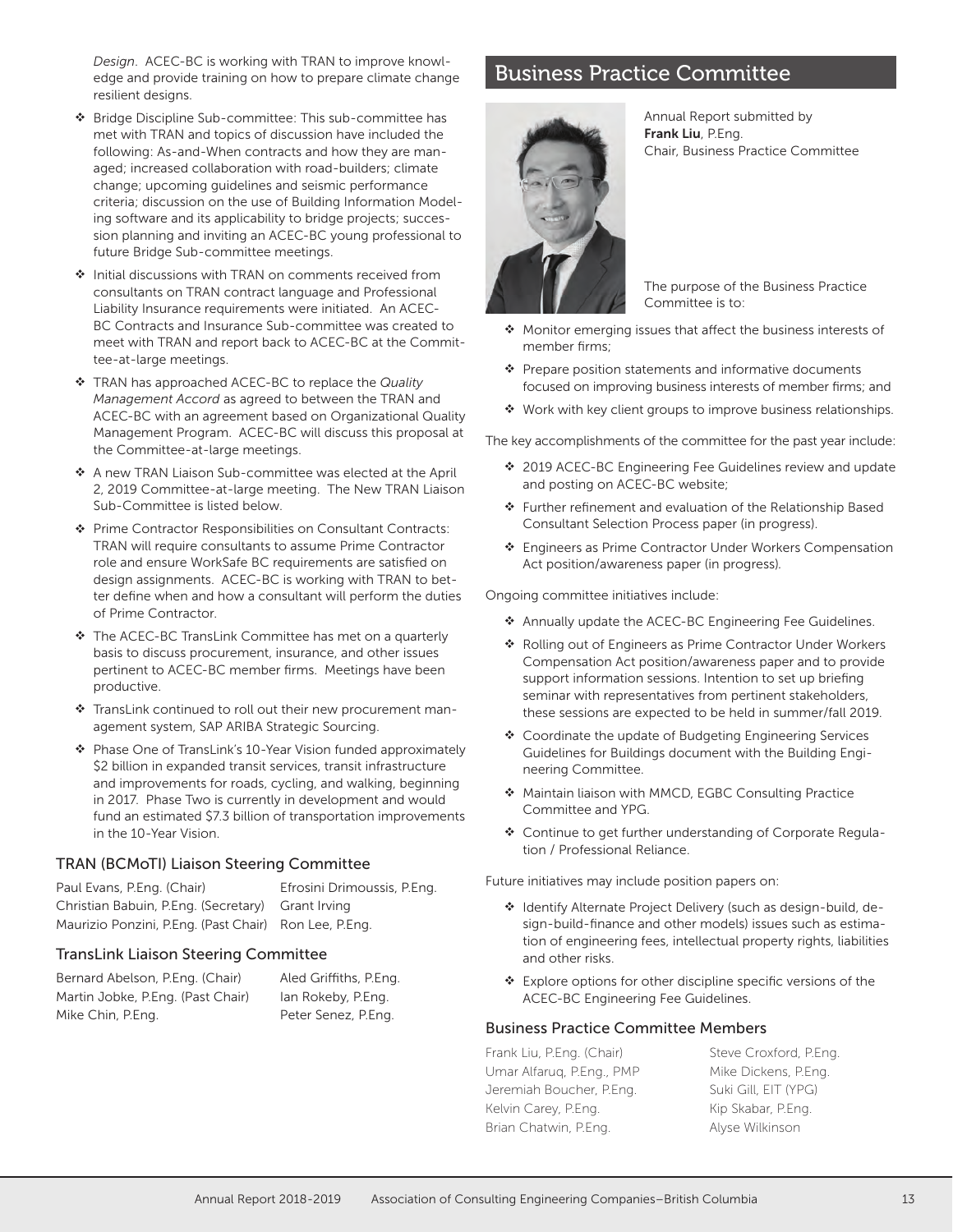*Design*. ACEC-BC is working with TRAN to improve knowledge and provide training on how to prepare climate change resilient designs.

- Bridge Discipline Sub-committee: This sub-committee has met with TRAN and topics of discussion have included the following: As-and-When contracts and how they are managed; increased collaboration with road-builders; climate change; upcoming guidelines and seismic performance criteria; discussion on the use of Building Information Modeling software and its applicability to bridge projects; succession planning and inviting an ACEC-BC young professional to future Bridge Sub-committee meetings.
- ◆ Initial discussions with TRAN on comments received from consultants on TRAN contract language and Professional Liability Insurance requirements were initiated. An ACEC-BC Contracts and Insurance Sub-committee was created to meet with TRAN and report back to ACEC-BC at the Committee-at-large meetings.
- TRAN has approached ACEC-BC to replace the *Quality Management Accord* as agreed to between the TRAN and ACEC-BC with an agreement based on Organizational Quality Management Program. ACEC-BC will discuss this proposal at the Committee-at-large meetings.
- A new TRAN Liaison Sub-committee was elected at the April 2, 2019 Committee-at-large meeting. The New TRAN Liaison Sub-Committee is listed below.
- Prime Contractor Responsibilities on Consultant Contracts: TRAN will require consultants to assume Prime Contractor role and ensure WorkSafe BC requirements are satisfied on design assignments. ACEC-BC is working with TRAN to better define when and how a consultant will perform the duties of Prime Contractor.
- The ACEC-BC TransLink Committee has met on a quarterly basis to discuss procurement, insurance, and other issues pertinent to ACEC-BC member firms. Meetings have been productive.
- \* TransLink continued to roll out their new procurement management system, SAP ARIBA Strategic Sourcing.
- Phase One of TransLink's 10-Year Vision funded approximately \$2 billion in expanded transit services, transit infrastructure and improvements for roads, cycling, and walking, beginning in 2017. Phase Two is currently in development and would fund an estimated \$7.3 billion of transportation improvements in the 10-Year Vision.

#### TRAN (BCMoTI) Liaison Steering Committee

Paul Evans, P.Eng. (Chair) Efrosini Drimoussis, P.Eng. Christian Babuin, P.Eng. (Secretary) Grant Irving Maurizio Ponzini, P.Eng. (Past Chair) Ron Lee, P.Eng.

#### TransLink Liaison Steering Committee

Bernard Abelson, P.Eng. (Chair) Aled Griffiths, P.Eng. Martin Jobke, P.Eng. (Past Chair) lan Rokeby, P.Eng. Mike Chin, P.Eng. Peter Senez, P.Eng.

### Business Practice Committee



Annual Report submitted by **Frank Liu**, P.Eng. Chair, Business Practice Committee

The purpose of the Business Practice Committee is to:

- $\cdot$  Monitor emerging issues that affect the business interests of member firms:
- $\cdot \cdot$  Prepare position statements and informative documents focused on improving business interests of member firms; and
- \* Work with key client groups to improve business relationships.

The key accomplishments of the committee for the past year include:

- 2019 ACEC-BC Engineering Fee Guidelines review and update and posting on ACEC-BC website;
- $\div$  Further refinement and evaluation of the Relationship Based Consultant Selection Process paper (in progress).
- Engineers as Prime Contractor Under Workers Compensation Act position/awareness paper (in progress)*.*

Ongoing committee initiatives include:

- \* Annually update the ACEC-BC Engineering Fee Guidelines.
- Rolling out of Engineers as Prime Contractor Under Workers Compensation Act position/awareness paper and to provide support information sessions. Intention to set up briefing seminar with representatives from pertinent stakeholders, these sessions are expected to be held in summer/fall 2019.
- Coordinate the update of Budgeting Engineering Services Guidelines for Buildings document with the Building Engineering Committee.
- Maintain liaison with MMCD, EGBC Consulting Practice Committee and YPG.
- Continue to get further understanding of Corporate Regulation / Professional Reliance.

Future initiatives may include position papers on:

- \* Identify Alternate Project Delivery (such as design-build, design-build-finance and other models) issues such as estimation of engineering fees, intellectual property rights, liabilities and other risks.
- $\cdot$  Explore options for other discipline specific versions of the ACEC-BC Engineering Fee Guidelines.

#### Business Practice Committee Members

Umar Alfaruq, P.Eng., PMP Mike Dickens, P.Eng. Jeremiah Boucher, P.Eng. Suki Gill, EIT (YPG) Kelvin Carey, P.Eng. Kip Skabar, P.Eng. Brian Chatwin, P.Eng. **Alyse Wilkinson** 

Frank Liu, P.Eng. (Chair) Steve Croxford, P.Eng.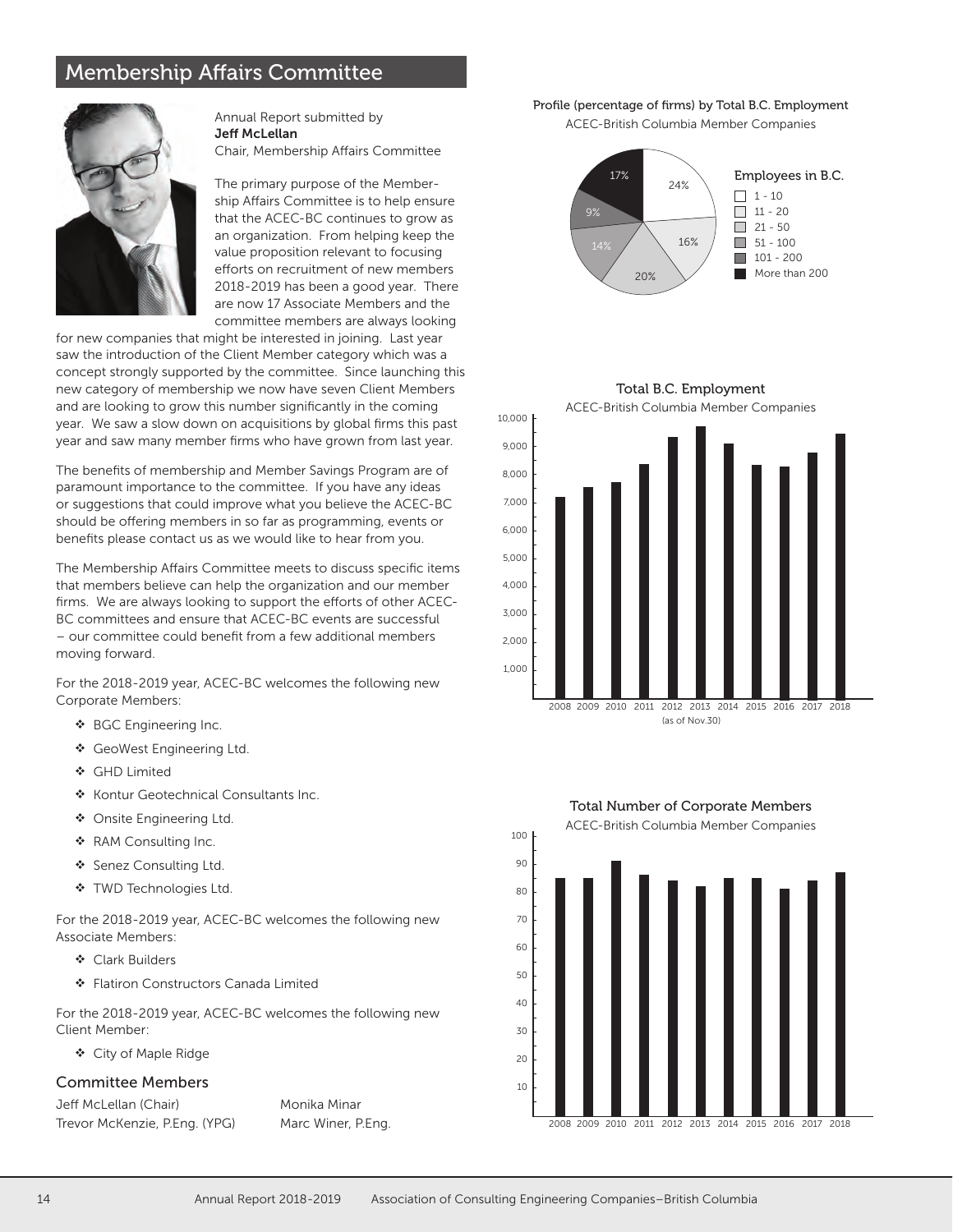### **Membership Affairs Committee**



Annual Report submitted by **Jeff McLellan**

Chair, Membership Affairs Committee

The primary purpose of the Membership Affairs Committee is to help ensure that the ACEC-BC continues to grow as an organization. From helping keep the value proposition relevant to focusing efforts on recruitment of new members 2018-2019 has been a good year. There are now 17 Associate Members and the committee members are always looking

for new companies that might be interested in joining. Last year saw the introduction of the Client Member category which was a concept strongly supported by the committee. Since launching this new category of membership we now have seven Client Members and are looking to grow this number significantly in the coming year. We saw a slow down on acquisitions by global firms this past year and saw many member firms who have grown from last year.

The benefits of membership and Member Savings Program are of paramount importance to the committee. If you have any ideas or suggestions that could improve what you believe the ACEC-BC should be offering members in so far as programming, events or benefits please contact us as we would like to hear from you.

The Membership Affairs Committee meets to discuss specific items that members believe can help the organization and our member firms. We are always looking to support the efforts of other ACEC-BC committees and ensure that ACEC-BC events are successful – our committee could benefit from a few additional members moving forward.

For the 2018-2019 year, ACEC-BC welcomes the following new Corporate Members:

- BGC Engineering Inc.
- \* GeoWest Engineering Ltd.
- GHD Limited
- \* Kontur Geotechnical Consultants Inc.
- ◆ Onsite Engineering Ltd.
- \* RAM Consulting Inc.
- Senez Consulting Ltd.
- \* TWD Technologies Ltd.

For the 2018-2019 year, ACEC-BC welcomes the following new Associate Members:

- Clark Builders
- ◆ Flatiron Constructors Canada Limited

For the 2018-2019 year, ACEC-BC welcomes the following new Client Member:

City of Maple Ridge

#### Committee Members

Jeff McLellan (Chair) Monika Minar Trevor McKenzie, P.Eng. (YPG) Marc Winer, P.Eng.

Profile (percentage of firms) by Total B.C. Employment ACEC-British Columbia Member Companies





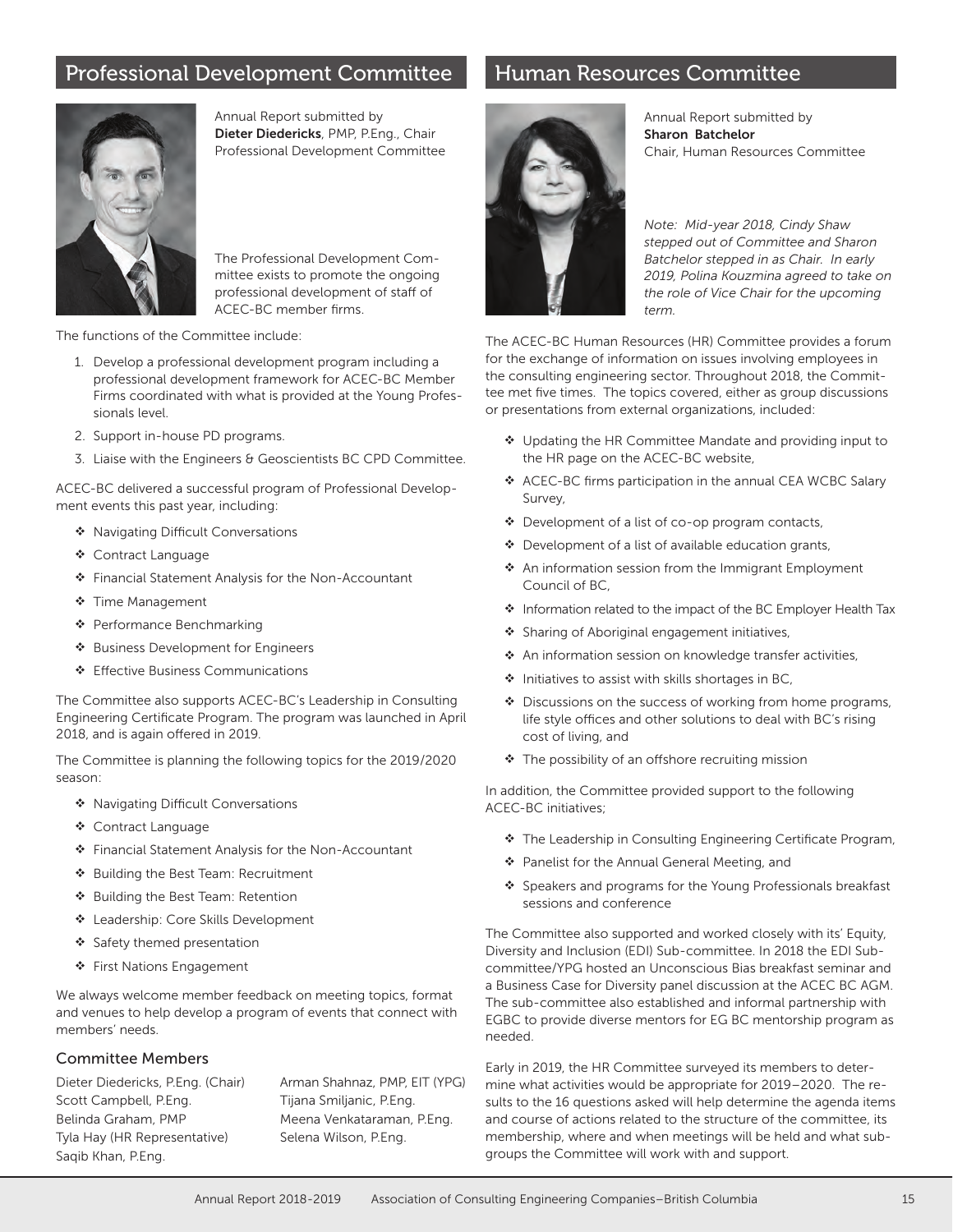### Professional Development Committee

Annual Report submitted by **Dieter Diedericks**, PMP, P.Eng., Chair Professional Development Committee

The Professional Development Committee exists to promote the ongoing professional development of staff of ACEC-BC member firms.

The functions of the Committee include:

- 1. Develop a professional development program including a professional development framework for ACEC-BC Member Firms coordinated with what is provided at the Young Professionals level.
- 2. Support in-house PD programs.
- 3. Liaise with the Engineers & Geoscientists BC CPD Committee.

ACEC-BC delivered a successful program of Professional Development events this past year, including:

- \* Navigating Difficult Conversations
- Contract Language
- Financial Statement Analysis for the Non-Accountant
- \* Time Management
- Performance Benchmarking
- ◆ Business Development for Engineers
- ❖ Effective Business Communications

The Committee also supports ACEC-BC's Leadership in Consulting Engineering Certificate Program. The program was launched in April 2018, and is again offered in 2019.

The Committee is planning the following topics for the 2019/2020 season:

- \* Navigating Difficult Conversations
- Contract Language
- Financial Statement Analysis for the Non-Accountant
- \* Building the Best Team: Recruitment
- ◆ Building the Best Team: Retention
- Leadership: Core Skills Development
- Safety themed presentation
- ◆ First Nations Engagement

We always welcome member feedback on meeting topics, format and venues to help develop a program of events that connect with members' needs.

#### Committee Members

Scott Campbell, P.Eng. Tijana Smiljanic, P.Eng. Belinda Graham, PMP Meena Venkataraman, P.Eng. Tyla Hay (HR Representative) Selena Wilson, P.Eng. Saqib Khan, P.Eng.

Dieter Diedericks, P.Eng. (Chair) Arman Shahnaz, PMP, EIT (YPG)

### Human Resources Committee



Annual Report submitted by **Sharon Batchelor** Chair, Human Resources Committee

*Note: Mid-year 2018, Cindy Shaw stepped out of Committee and Sharon Batchelor stepped in as Chair. In early 2019, Polina Kouzmina agreed to take on the role of Vice Chair for the upcoming term.*

The ACEC-BC Human Resources (HR) Committee provides a forum for the exchange of information on issues involving employees in the consulting engineering sector. Throughout 2018, the Committee met five times. The topics covered, either as group discussions or presentations from external organizations, included:

- Updating the HR Committee Mandate and providing input to the HR page on the ACEC-BC website,
- \* ACEC-BC firms participation in the annual CEA WCBC Salary Survey,
- Development of a list of co-op program contacts,
- \* Development of a list of available education grants,
- \* An information session from the Immigrant Employment Council of BC,
- \* Information related to the impact of the BC Employer Health Tax
- ❖ Sharing of Aboriginal engagement initiatives,
- An information session on knowledge transfer activities,
- $\triangleq$  Initiatives to assist with skills shortages in BC,
- ❖ Discussions on the success of working from home programs, life style offices and other solutions to deal with BC's rising cost of living, and
- $\cdot$  The possibility of an offshore recruiting mission

In addition, the Committee provided support to the following ACEC-BC initiatives;

- \* The Leadership in Consulting Engineering Certificate Program,
- \* Panelist for the Annual General Meeting, and
- \* Speakers and programs for the Young Professionals breakfast sessions and conference

The Committee also supported and worked closely with its' Equity, Diversity and Inclusion (EDI) Sub-committee. In 2018 the EDI Subcommittee/YPG hosted an Unconscious Bias breakfast seminar and a Business Case for Diversity panel discussion at the ACEC BC AGM. The sub-committee also established and informal partnership with EGBC to provide diverse mentors for EG BC mentorship program as needed.

Early in 2019, the HR Committee surveyed its members to determine what activities would be appropriate for 2019–2020. The results to the 16 questions asked will help determine the agenda items and course of actions related to the structure of the committee, its membership, where and when meetings will be held and what subgroups the Committee will work with and support.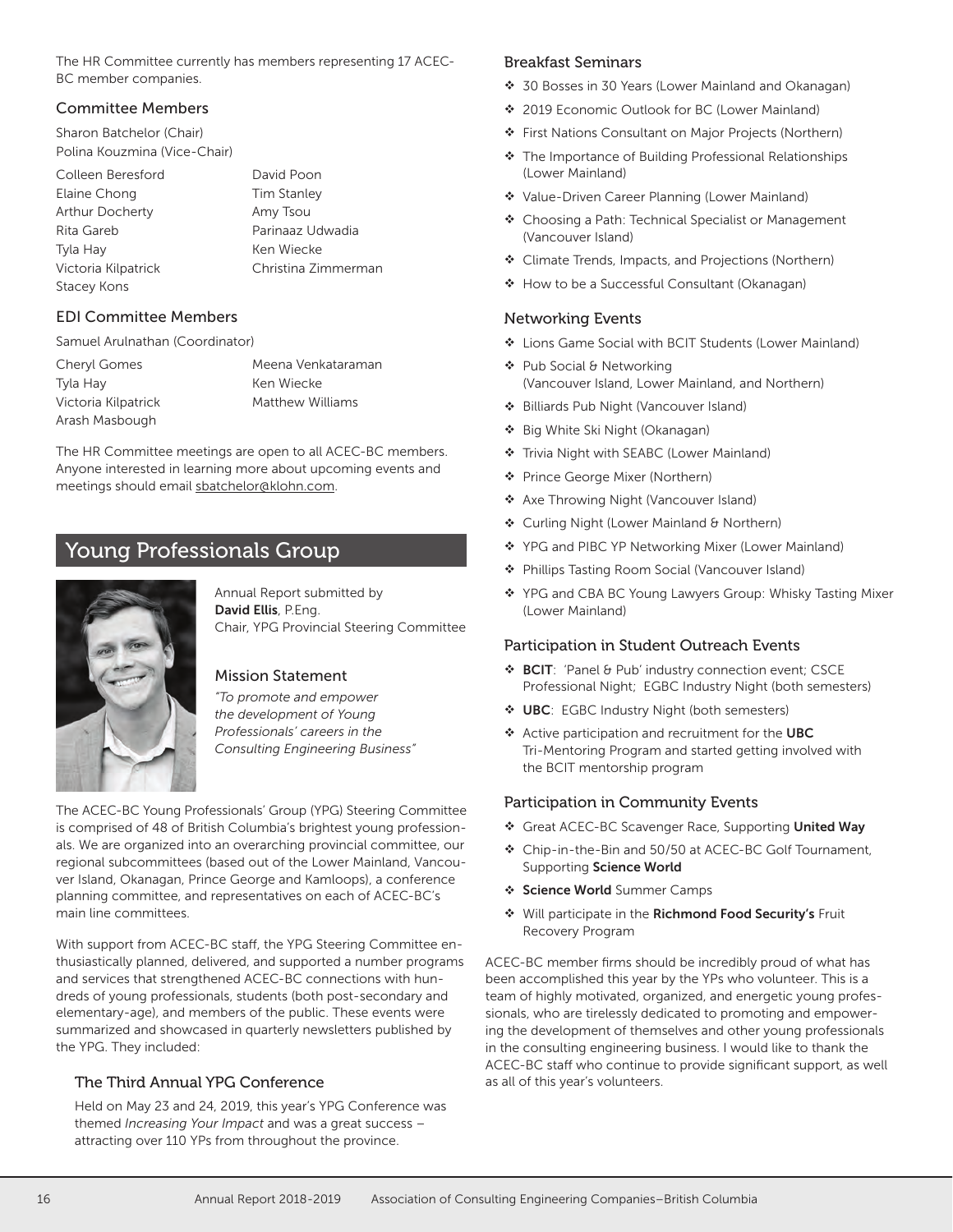The HR Committee currently has members representing 17 ACEC-BC member companies.

#### Committee Members

Sharon Batchelor (Chair) Polina Kouzmina (Vice-Chair)

Colleen Beresford **David Poon** Elaine Chong Tim Stanley Arthur Docherty **Amy Tsou** Rita Gareb **Parinaaz Udwadia** Tyla Hay **Ken Wiecke** Victoria Kilpatrick Christina Zimmerman Stacey Kons

#### EDI Committee Members

Samuel Arulnathan (Coordinator)

Cheryl Gomes Meena Venkataraman Tyla Hay **Ken Wiecke** Victoria Kilpatrick Matthew Williams Arash Masbough

The HR Committee meetings are open to all ACEC-BC members. Anyone interested in learning more about upcoming events and meetings should email sbatchelor@klohn.com.

## Young Professionals Group



Annual Report submitted by **David Ellis**, P.Eng. Chair, YPG Provincial Steering Committee

#### Mission Statement

*"To promote and empower the development of Young Professionals' careers in the Consulting Engineering Business"*

The ACEC-BC Young Professionals' Group (YPG) Steering Committee is comprised of 48 of British Columbia's brightest young professionals. We are organized into an overarching provincial committee, our regional subcommittees (based out of the Lower Mainland, Vancouver Island, Okanagan, Prince George and Kamloops), a conference planning committee, and representatives on each of ACEC-BC's main line committees.

With support from ACEC-BC staff, the YPG Steering Committee enthusiastically planned, delivered, and supported a number programs and services that strengthened ACEC-BC connections with hundreds of young professionals, students (both post-secondary and elementary-age), and members of the public. These events were summarized and showcased in quarterly newsletters published by the YPG. They included:

#### The Third Annual YPG Conference

Held on May 23 and 24, 2019, this year's YPG Conference was themed *Increasing Your Impact* and was a great success – attracting over 110 YPs from throughout the province.

#### Breakfast Seminars

- 30 Bosses in 30 Years (Lower Mainland and Okanagan)
- 2019 Economic Outlook for BC (Lower Mainland)
- First Nations Consultant on Major Projects (Northern)
- \* The Importance of Building Professional Relationships (Lower Mainland)
- Value-Driven Career Planning (Lower Mainland)
- \* Choosing a Path: Technical Specialist or Management (Vancouver Island)
- Climate Trends, Impacts, and Projections (Northern)
- \* How to be a Successful Consultant (Okanagan)

#### Networking Events

- Lions Game Social with BCIT Students (Lower Mainland)
- Pub Social & Networking (Vancouver Island, Lower Mainland, and Northern)
- Billiards Pub Night (Vancouver Island)
- Big White Ski Night (Okanagan)
- \* Trivia Night with SEABC (Lower Mainland)
- \* Prince George Mixer (Northern)
- \* Axe Throwing Night (Vancouver Island)
- Curling Night (Lower Mainland & Northern)
- \* YPG and PIBC YP Networking Mixer (Lower Mainland)
- Phillips Tasting Room Social (Vancouver Island)
- \* YPG and CBA BC Young Lawyers Group: Whisky Tasting Mixer (Lower Mainland)

#### Participation in Student Outreach Events

- **BCIT**: 'Panel & Pub' industry connection event; CSCE Professional Night; EGBC Industry Night (both semesters)
- **UBC**: EGBC Industry Night (both semesters)
- Active participation and recruitment for the **UBC** Tri-Mentoring Program and started getting involved with the BCIT mentorship program

#### Participation in Community Events

- Great ACEC-BC Scavenger Race, Supporting **United Way**
- Chip-in-the-Bin and 50/50 at ACEC-BC Golf Tournament, Supporting **Science World**
- **Science World** Summer Camps
- Will participate in the **Richmond Food Security's** Fruit Recovery Program

ACEC-BC member firms should be incredibly proud of what has been accomplished this year by the YPs who volunteer. This is a team of highly motivated, organized, and energetic young professionals, who are tirelessly dedicated to promoting and empowering the development of themselves and other young professionals in the consulting engineering business. I would like to thank the ACEC-BC staff who continue to provide significant support, as well as all of this year's volunteers.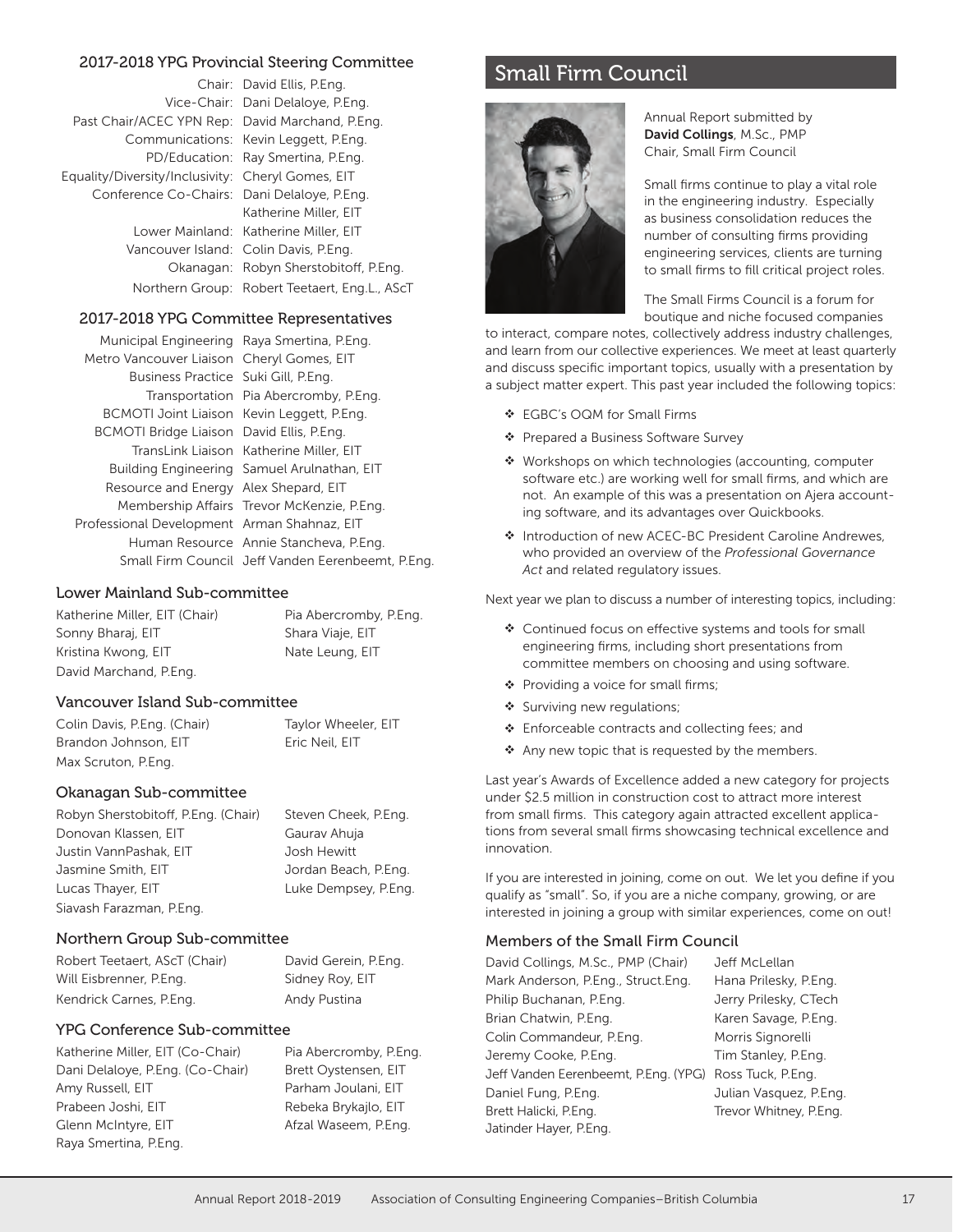#### 2017-2018 YPG Provincial Steering Committee

|                                                   | Chair: David Ellis, P.Eng.            |
|---------------------------------------------------|---------------------------------------|
|                                                   | Vice-Chair: Dani Delaloye, P.Er       |
| Past Chair/ACEC YPN Rep: David Marchand, P.       |                                       |
|                                                   | Communications: Kevin Leggett, P.En   |
|                                                   | PD/Education: Ray Smertina, P.En      |
| Equality/Diversity/Inclusivity: Cheryl Gomes, EIT |                                       |
| Conference Co-Chairs: Dani Delaloye, P.Er         |                                       |
|                                                   | Katherine Miller, El                  |
|                                                   | Lower Mainland: Katherine Miller, El  |
|                                                   | Vancouver Island: Colin Davis, P.Eng. |
|                                                   | Okanagan: Robyn Sherstobitot          |
|                                                   |                                       |

Chair: David Ellis, P.Eng. laloye, P.Eng. archand, P.Eng. ggett, P.Eng. ertina, P.Eng. laloye, P.Eng. e Miller, EIT le Miller, EIT avis, P.Eng. herstobitoff, P.Eng. Northern Group: Robert Teetaert, Eng.L., AScT

#### 2017-2018 YPG Committee Representatives

 Municipal Engineering Raya Smertina, P.Eng. Metro Vancouver Liaison Cheryl Gomes, EIT Business Practice Suki Gill, P.Eng. Transportation Pia Abercromby, P.Eng. BCMOTI Joint Liaison Kevin Leggett, P.Eng. BCMOTI Bridge Liaison David Ellis, P.Eng. TransLink Liaison Katherine Miller, EIT Building Engineering Samuel Arulnathan, EIT Resource and Energy Alex Shepard, EIT Membership Affairs Trevor McKenzie, P.Eng. Professional Development Arman Shahnaz, EIT Human Resource Annie Stancheva, P.Eng. Small Firm Council Jeff Vanden Eerenbeemt, P.Eng.

#### Lower Mainland Sub-committee

Katherine Miller, EIT (Chair) Pia Abercromby, P.Eng. Sonny Bharaj, EIT Shara Viaje, EIT Kristina Kwong, EIT Nate Leung, EIT David Marchand, P.Eng.

#### Vancouver Island Sub-committee

Colin Davis, P.Eng. (Chair) Taylor Wheeler, EIT Brandon Johnson, EIT Eric Neil, EIT Max Scruton, P.Eng.

#### Okanagan Sub-committee

Robyn Sherstobitoff, P.Eng. (Chair) Steven Cheek, P.Eng. Donovan Klassen, EIT Gaurav Ahuja Justin VannPashak, EIT Josh Hewitt Jasmine Smith, EIT Jordan Beach, P.Eng. Lucas Thayer, EIT Luke Dempsey, P.Eng. Siavash Farazman, P.Eng.

#### Northern Group Sub-committee

Robert Teetaert, AScT (Chair) David Gerein, P.Eng. Will Eisbrenner, P.Eng. Sidney Roy, EIT Kendrick Carnes, P.Eng. Andy Pustina

#### YPG Conference Sub-committee

Katherine Miller, EIT (Co-Chair) Pia Abercromby, P.Eng. Dani Delaloye, P.Eng. (Co-Chair) Brett Oystensen, EIT Amy Russell, EIT Parham Joulani, EIT Prabeen Joshi, EIT Rebeka Brykajlo, EIT Glenn McIntyre, EIT Afzal Waseem, P.Eng. Raya Smertina, P.Eng.

### Small Firm Council



Annual Report submitted by **David Collings**, M.Sc., PMP Chair, Small Firm Council

Small firms continue to play a vital role in the engineering industry. Especially as business consolidation reduces the number of consulting firms providing engineering services, clients are turning to small firms to fill critical project roles.

The Small Firms Council is a forum for boutique and niche focused companies

to interact, compare notes, collectively address industry challenges, and learn from our collective experiences. We meet at least quarterly and discuss specific important topics, usually with a presentation by a subject matter expert. This past year included the following topics:

- EGBC's OQM for Small Firms
- \* Prepared a Business Software Survey
- Workshops on which technologies (accounting, computer software etc.) are working well for small firms, and which are not. An example of this was a presentation on Ajera accounting software, and its advantages over Quickbooks.
- \* Introduction of new ACEC-BC President Caroline Andrewes, who provided an overview of the *Professional Governance Act* and related regulatory issues.

Next year we plan to discuss a number of interesting topics, including:

- $\cdot$  Continued focus on effective systems and tools for small engineering firms, including short presentations from committee members on choosing and using software.
- $\div$  Providing a voice for small firms;
- \* Surviving new regulations;
- Enforceable contracts and collecting fees; and
- $\cdot$  Any new topic that is requested by the members.

Last year's Awards of Excellence added a new category for projects under \$2.5 million in construction cost to attract more interest from small firms. This category again attracted excellent applications from several small firms showcasing technical excellence and innovation.

If you are interested in joining, come on out. We let you define if you qualify as "small". So, if you are a niche company, growing, or are interested in joining a group with similar experiences, come on out!

#### Members of the Small Firm Council

David Collings, M.Sc., PMP (Chair) Jeff McLellan Mark Anderson, P.Eng., Struct.Eng. Hana Prilesky, P.Eng. Philip Buchanan, P.Eng. Jerry Prilesky, CTech Brian Chatwin, P.Eng. Karen Savage, P.Eng. Colin Commandeur, P.Eng. Morris Signorelli Jeremy Cooke, P.Eng. Tim Stanley, P.Eng. Jeff Vanden Eerenbeemt, P.Eng. (YPG) Ross Tuck, P.Eng. Daniel Fung, P.Eng. **In the State State State Julian Vasquez**, P.Eng. Brett Halicki, P.Eng. Trevor Whitney, P.Eng. Jatinder Hayer, P.Eng.

Annual Report 2018-2019 Association of Consulting Engineering Companies–British Columbia 17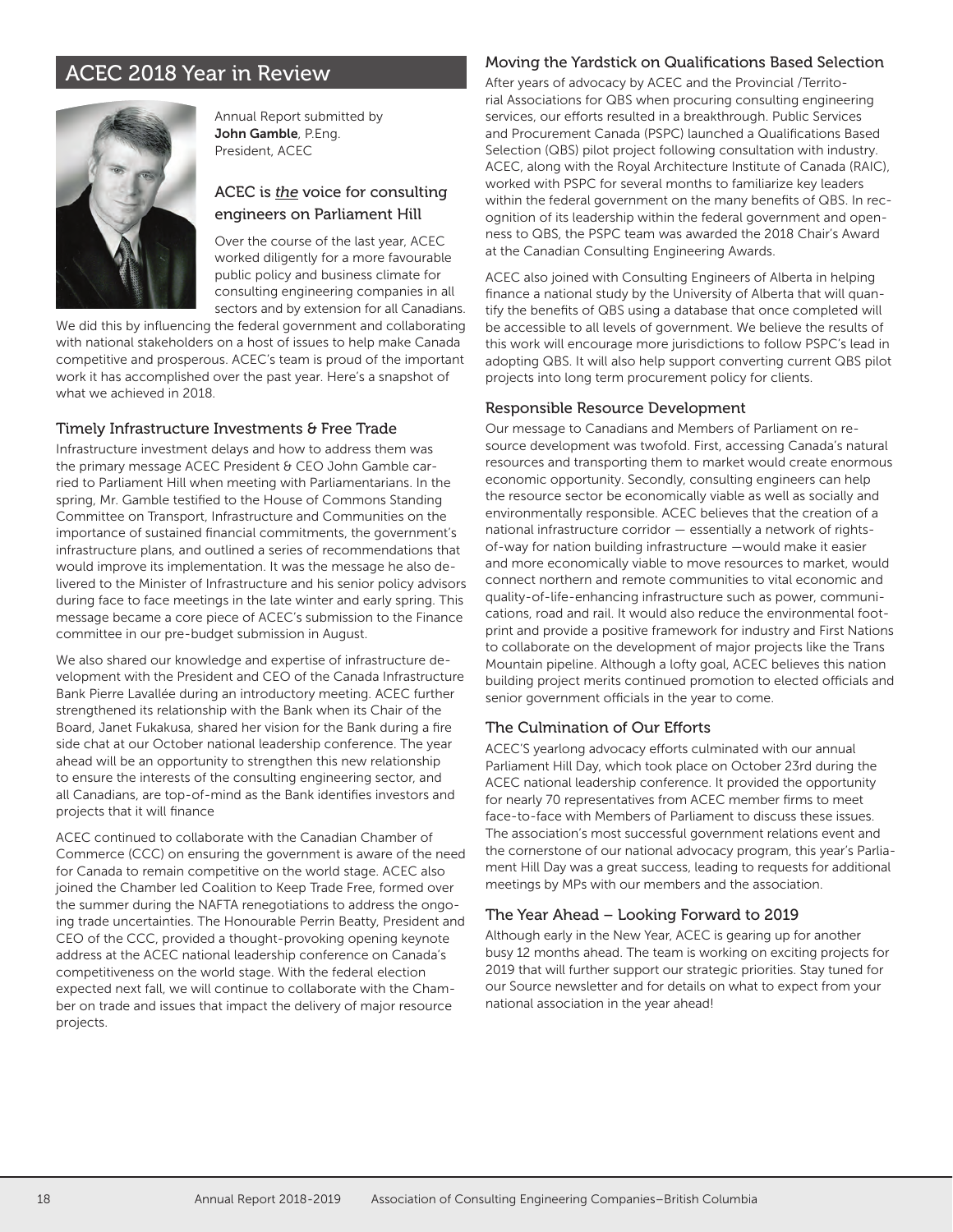### ACEC 2018 Year in Review



Annual Report submitted by **John Gamble**, P.Eng. President, ACEC

### ACEC is *the* voice for consulting engineers on Parliament Hill

Over the course of the last year, ACEC worked diligently for a more favourable public policy and business climate for consulting engineering companies in all sectors and by extension for all Canadians.

We did this by influencing the federal government and collaborating with national stakeholders on a host of issues to help make Canada competitive and prosperous. ACEC's team is proud of the important work it has accomplished over the past year. Here's a snapshot of what we achieved in 2018.

#### Timely Infrastructure Investments & Free Trade

Infrastructure investment delays and how to address them was the primary message ACEC President & CEO John Gamble carried to Parliament Hill when meeting with Parliamentarians. In the spring, Mr. Gamble testified to the House of Commons Standing Committee on Transport, Infrastructure and Communities on the importance of sustained financial commitments, the government's infrastructure plans, and outlined a series of recommendations that would improve its implementation. It was the message he also delivered to the Minister of Infrastructure and his senior policy advisors during face to face meetings in the late winter and early spring. This message became a core piece of ACEC's submission to the Finance committee in our pre-budget submission in August.

We also shared our knowledge and expertise of infrastructure development with the President and CEO of the Canada Infrastructure Bank Pierre Lavallée during an introductory meeting. ACEC further strengthened its relationship with the Bank when its Chair of the Board, Janet Fukakusa, shared her vision for the Bank during a fire side chat at our October national leadership conference. The year ahead will be an opportunity to strengthen this new relationship to ensure the interests of the consulting engineering sector, and all Canadians, are top-of-mind as the Bank identifies investors and projects that it will finance

ACEC continued to collaborate with the Canadian Chamber of Commerce (CCC) on ensuring the government is aware of the need for Canada to remain competitive on the world stage. ACEC also joined the Chamber led Coalition to Keep Trade Free, formed over the summer during the NAFTA renegotiations to address the ongoing trade uncertainties. The Honourable Perrin Beatty, President and CEO of the CCC, provided a thought-provoking opening keynote address at the ACEC national leadership conference on Canada's competitiveness on the world stage. With the federal election expected next fall, we will continue to collaborate with the Chamber on trade and issues that impact the delivery of major resource projects.

#### Moving the Yardstick on Qualifications Based Selection

After years of advocacy by ACEC and the Provincial /Territorial Associations for QBS when procuring consulting engineering services, our efforts resulted in a breakthrough. Public Services and Procurement Canada (PSPC) launched a Qualifications Based Selection (QBS) pilot project following consultation with industry. ACEC, along with the Royal Architecture Institute of Canada (RAIC), worked with PSPC for several months to familiarize key leaders within the federal government on the many benefits of QBS. In recognition of its leadership within the federal government and openness to QBS, the PSPC team was awarded the 2018 Chair's Award at the Canadian Consulting Engineering Awards.

ACEC also joined with Consulting Engineers of Alberta in helping finance a national study by the University of Alberta that will quantify the benefits of QBS using a database that once completed will be accessible to all levels of government. We believe the results of this work will encourage more jurisdictions to follow PSPC's lead in adopting QBS. It will also help support converting current QBS pilot projects into long term procurement policy for clients.

#### Responsible Resource Development

Our message to Canadians and Members of Parliament on resource development was twofold. First, accessing Canada's natural resources and transporting them to market would create enormous economic opportunity. Secondly, consulting engineers can help the resource sector be economically viable as well as socially and environmentally responsible. ACEC believes that the creation of a national infrastructure corridor — essentially a network of rightsof-way for nation building infrastructure —would make it easier and more economically viable to move resources to market, would connect northern and remote communities to vital economic and quality-of-life-enhancing infrastructure such as power, communications, road and rail. It would also reduce the environmental footprint and provide a positive framework for industry and First Nations to collaborate on the development of major projects like the Trans Mountain pipeline. Although a lofty goal, ACEC believes this nation building project merits continued promotion to elected officials and senior government officials in the year to come.

#### The Culmination of Our Efforts

ACEC'S yearlong advocacy efforts culminated with our annual Parliament Hill Day, which took place on October 23rd during the ACEC national leadership conference. It provided the opportunity for nearly 70 representatives from ACEC member firms to meet face-to-face with Members of Parliament to discuss these issues. The association's most successful government relations event and the cornerstone of our national advocacy program, this year's Parliament Hill Day was a great success, leading to requests for additional meetings by MPs with our members and the association.

#### The Year Ahead – Looking Forward to 2019

Although early in the New Year, ACEC is gearing up for another busy 12 months ahead. The team is working on exciting projects for 2019 that will further support our strategic priorities. Stay tuned for our Source newsletter and for details on what to expect from your national association in the year ahead!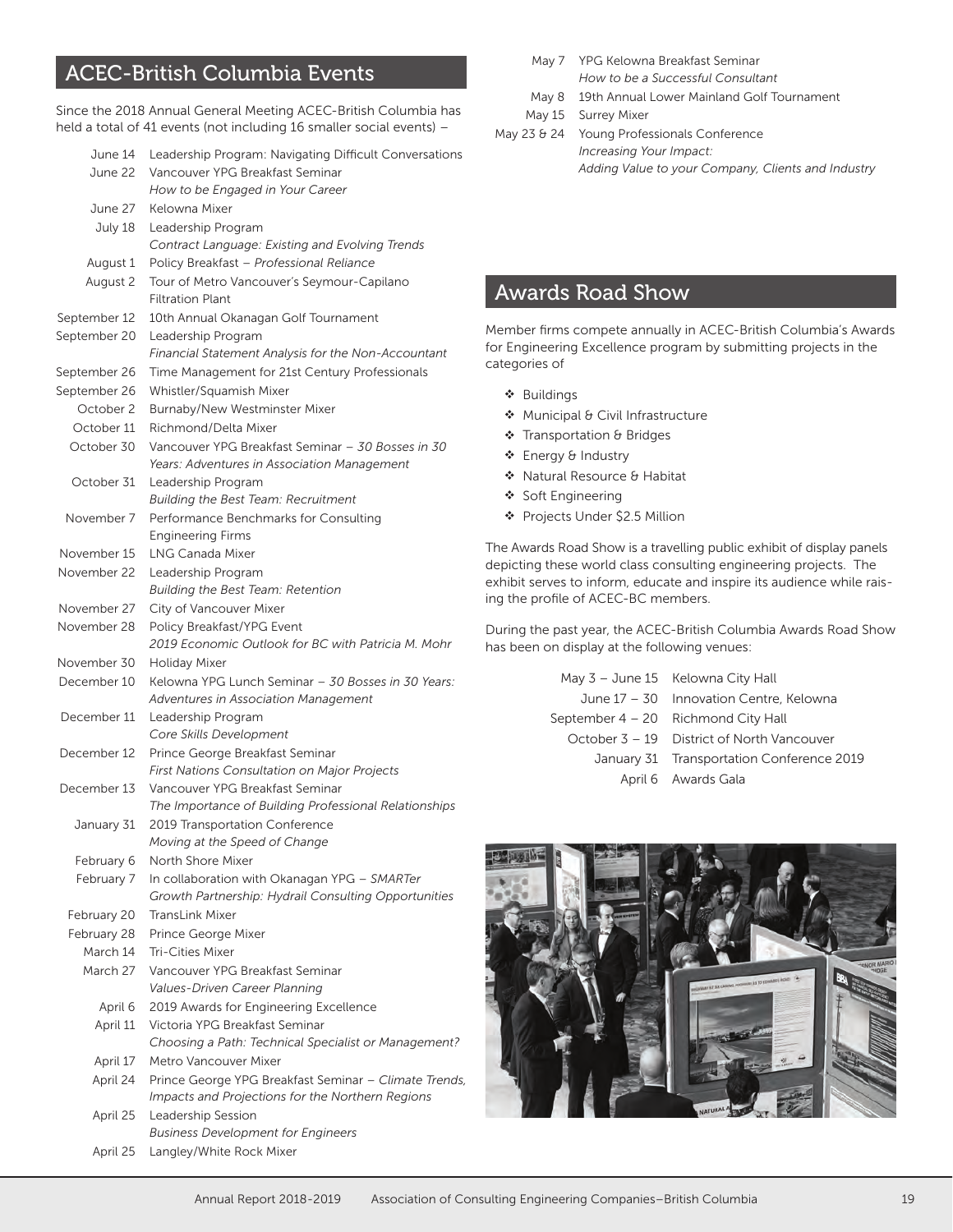### ACEC-British Columbia Events

Since the 2018 Annual General Meeting ACEC-British Columbia has held a total of 41 events (not including 16 smaller social events) –

| June 14      | Leadership Program: Navigating Difficult Conversations                                           |
|--------------|--------------------------------------------------------------------------------------------------|
| June 22      | Vancouver YPG Breakfast Seminar                                                                  |
|              | How to be Engaged in Your Career                                                                 |
| June 27      | Kelowna Mixer                                                                                    |
| July 18      | Leadership Program                                                                               |
|              | Contract Language: Existing and Evolving Trends                                                  |
| August 1     | Policy Breakfast - Professional Reliance                                                         |
| August 2     | Tour of Metro Vancouver's Seymour-Capilano<br><b>Filtration Plant</b>                            |
| September 12 | 10th Annual Okanagan Golf Tournament                                                             |
| September 20 | Leadership Program                                                                               |
|              | Financial Statement Analysis for the Non-Accountant                                              |
| September 26 | Time Management for 21st Century Professionals                                                   |
| September 26 | Whistler/Squamish Mixer                                                                          |
| October 2    | Burnaby/New Westminster Mixer                                                                    |
| October 11   | Richmond/Delta Mixer                                                                             |
| October 30   | Vancouver YPG Breakfast Seminar - 30 Bosses in 30<br>Years: Adventures in Association Management |
| October 31   | Leadership Program                                                                               |
|              | Building the Best Team: Recruitment                                                              |
| November 7   | Performance Benchmarks for Consulting                                                            |
|              | <b>Engineering Firms</b>                                                                         |
| November 15  | <b>LNG Canada Mixer</b>                                                                          |
| November 22  | Leadership Program                                                                               |
|              | Building the Best Team: Retention                                                                |
| November 27  | City of Vancouver Mixer                                                                          |
| November 28  | Policy Breakfast/YPG Event                                                                       |
|              | 2019 Economic Outlook for BC with Patricia M. Mohr                                               |
| November 30  | <b>Holiday Mixer</b>                                                                             |
| December 10  | Kelowna YPG Lunch Seminar - 30 Bosses in 30 Years:                                               |
|              | Adventures in Association Management                                                             |
| December 11  | Leadership Program                                                                               |
|              | Core Skills Development                                                                          |
| December 12  | Prince George Breakfast Seminar                                                                  |
|              | First Nations Consultation on Major Projects                                                     |
| December 13  | Vancouver YPG Breakfast Seminar                                                                  |
|              | The Importance of Building Professional Relationships                                            |
| January 31   | 2019 Transportation Conference                                                                   |
|              | Moving at the Speed of Change                                                                    |
| February 6   | North Shore Mixer                                                                                |
| February 7   | In collaboration with Okanagan YPG - SMARTer                                                     |
|              | Growth Partnership: Hydrail Consulting Opportunities                                             |
| February 20  | <b>TransLink Mixer</b>                                                                           |
| February 28  | Prince George Mixer                                                                              |
| March 14     | Tri-Cities Mixer                                                                                 |
| March 27     | Vancouver YPG Breakfast Seminar                                                                  |
|              | Values-Driven Career Planning                                                                    |
| April 6      | 2019 Awards for Engineering Excellence                                                           |
| April 11     | Victoria YPG Breakfast Seminar                                                                   |
|              | Choosing a Path: Technical Specialist or Management?                                             |
| April 17     | Metro Vancouver Mixer                                                                            |
| April 24     | Prince George YPG Breakfast Seminar - Climate Trends,                                            |
|              | Impacts and Projections for the Northern Regions                                                 |
| April 25     | Leadership Session                                                                               |
|              | <b>Business Development for Engineers</b>                                                        |

April 25 Langley/White Rock Mixer

| May 7 YPG Kelowna Breakfast Seminar              |
|--------------------------------------------------|
| How to be a Successful Consultant                |
| May 8 19th Annual Lower Mainland Golf Tournament |
| May 15 Surrey Mixer                              |
| May 23 & 24 Young Professionals Conference       |

*Increasing Your Impact: Adding Value to your Company, Clients and Industry*

### Awards Road Show

Member firms compete annually in ACEC-British Columbia's Awards for Engineering Excellence program by submitting projects in the categories of

- Buildings
- Municipal & Civil Infrastructure
- Transportation & Bridges
- Energy & Industry
- Natural Resource & Habitat
- Soft Engineering
- Projects Under \$2.5 Million

The Awards Road Show is a travelling public exhibit of display panels depicting these world class consulting engineering projects. The exhibit serves to inform, educate and inspire its audience while raising the profile of ACEC-BC members.

During the past year, the ACEC-British Columbia Awards Road Show has been on display at the following venues:

| May $3 -$ June 15 Kelowna City Hall        |
|--------------------------------------------|
| June 17 – 30 Innovation Centre, Kelowna    |
| September $4 - 20$ Richmond City Hall      |
| October 3 – 19 District of North Vancouver |
| January 31 Transportation Conference 2019  |
| April 6 Awards Gala                        |

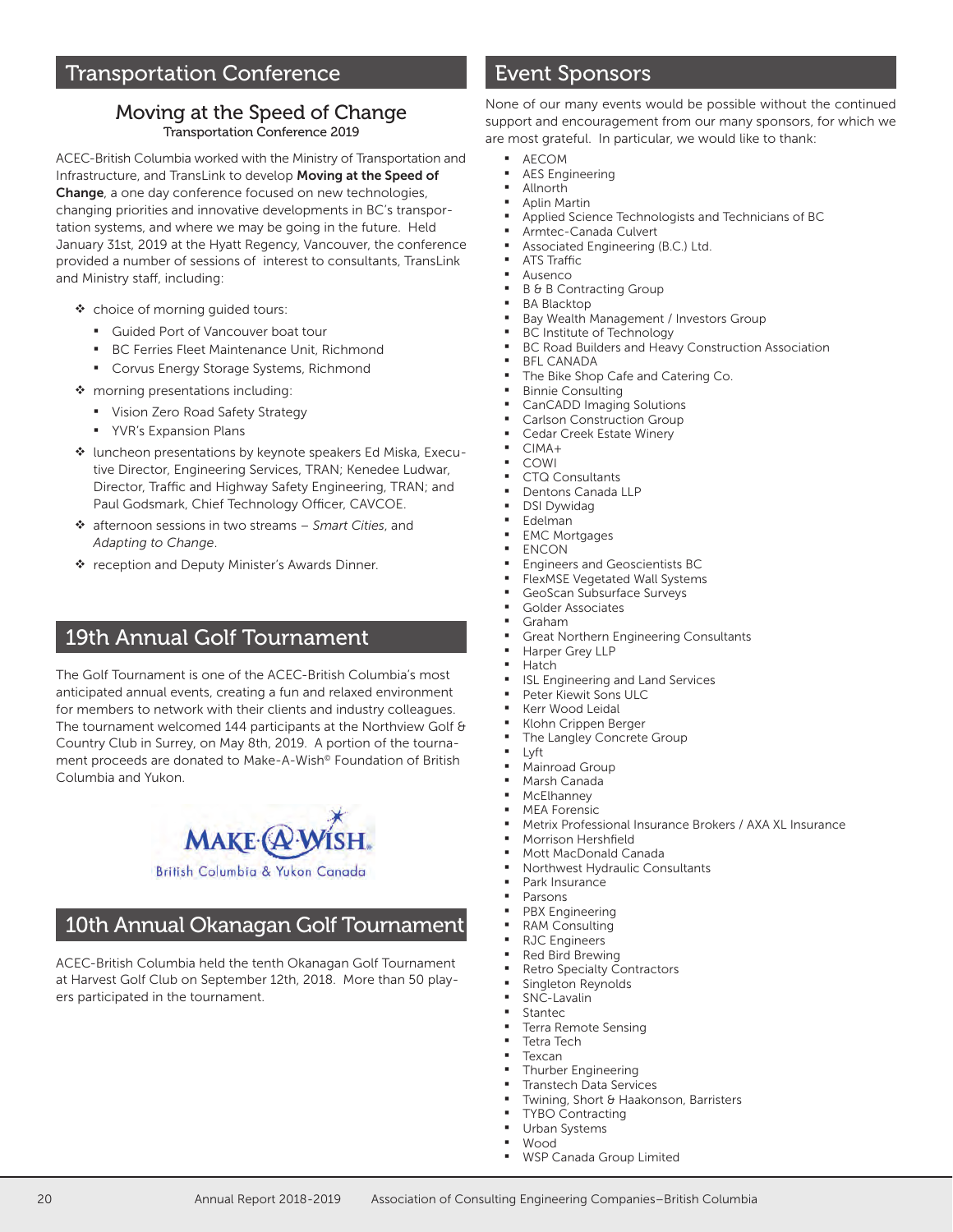### Transportation Conference

## Moving at the Speed of Change

Transportation Conference 2019

ACEC-British Columbia worked with the Ministry of Transportation and Infrastructure, and TransLink to develop **Moving at the Speed of Change**, a one day conference focused on new technologies, changing priorities and innovative developments in BC's transportation systems, and where we may be going in the future. Held January 31st, 2019 at the Hyatt Regency, Vancouver, the conference provided a number of sessions of interest to consultants, TransLink and Ministry staff, including:

- \* choice of morning guided tours:
	- Guided Port of Vancouver boat tour
	- **BC Ferries Fleet Maintenance Unit, Richmond**
	- **EX Corvus Energy Storage Systems, Richmond**
- \* morning presentations including:
	- **Vision Zero Road Safety Strategy**
	- **YVR's Expansion Plans**
- luncheon presentations by keynote speakers Ed Miska, Executive Director, Engineering Services, TRAN; Kenedee Ludwar, Director, Traffic and Highway Safety Engineering, TRAN; and Paul Godsmark, Chief Technology Officer, CAVCOE.
- afternoon sessions in two streams *Smart Cities*, and *Adapting to Change*.
- \* reception and Deputy Minister's Awards Dinner.

### 19th Annual Golf Tournament

The Golf Tournament is one of the ACEC-British Columbia's most anticipated annual events, creating a fun and relaxed environment for members to network with their clients and industry colleagues. The tournament welcomed 144 participants at the Northview Golf & Country Club in Surrey, on May 8th, 2019. A portion of the tournament proceeds are donated to Make-A-Wish<sup>®</sup> Foundation of British Columbia and Yukon.



### 10th Annual Okanagan Golf Tournament

ACEC-British Columbia held the tenth Okanagan Golf Tournament at Harvest Golf Club on September 12th, 2018. More than 50 players participated in the tournament.

### Event Sponsors

None of our many events would be possible without the continued support and encouragement from our many sponsors, for which we are most grateful. In particular, we would like to thank:

- AECOM
	- AES Engineering
	- Allnorth
	- Aplin Martin
	- Applied Science Technologists and Technicians of BC
	- Armtec-Canada Culvert
	- Associated Engineering (B.C.) Ltd. ATS Traffic
	- Ausenco
	- B & B Contracting Group
	- BA Blacktop
	- Bay Wealth Management / Investors Group
	- BC Institute of Technology
	- BC Road Builders and Heavy Construction Association
	- BFL CANADA
	- The Bike Shop Cafe and Catering Co.
	- Binnie Consulting
	- CanCADD Imaging Solutions
	- Carlson Construction Group
	- Cedar Creek Estate Winery
	- CIMA+
	- COWI
	- CTQ Consultants
	- Dentons Canada LLP DSI Dywidag
	-
	- Edelman
	- EMC Mortgages ENCON
	- Engineers and Geoscientists BC
	- FlexMSE Vegetated Wall Systems
	- GeoScan Subsurface Surveys
	- Golder Associates
	- $G$ raham
	- Great Northern Engineering Consultants
	- Harper Grey LLP
	- **Hatch**
	- ISL Engineering and Land Services
	- Peter Kiewit Sons ULC
	- Kerr Wood Leidal
	- Klohn Crippen Berger
	- The Langley Concrete Group
	- Lyft
	- Mainroad Group
	- Marsh Canada
	- McElhanney MEA Forensic
	- Metrix Professional Insurance Brokers / AXA XL Insurance
	- Morrison Hershfield
	- Mott MacDonald Canada
	- Northwest Hydraulic Consultants
	- Park Insurance
	- Parsons
	- PBX Engineering
	- RAM Consulting
	- RJC Engineers
	- Red Bird Brewing
	- Retro Specialty Contractors Singleton Reynolds
	- SNC-Lavalin
	-
	- Stantec
	- Terra Remote Sensing
	- Tetra Tech
	- Texcan
	- Thurber Engineering Transtech Data Services
	- Twining, Short & Haakonson, Barristers
	- TYBO Contracting
	- Urban Systems
	- Wood
	- WSP Canada Group Limited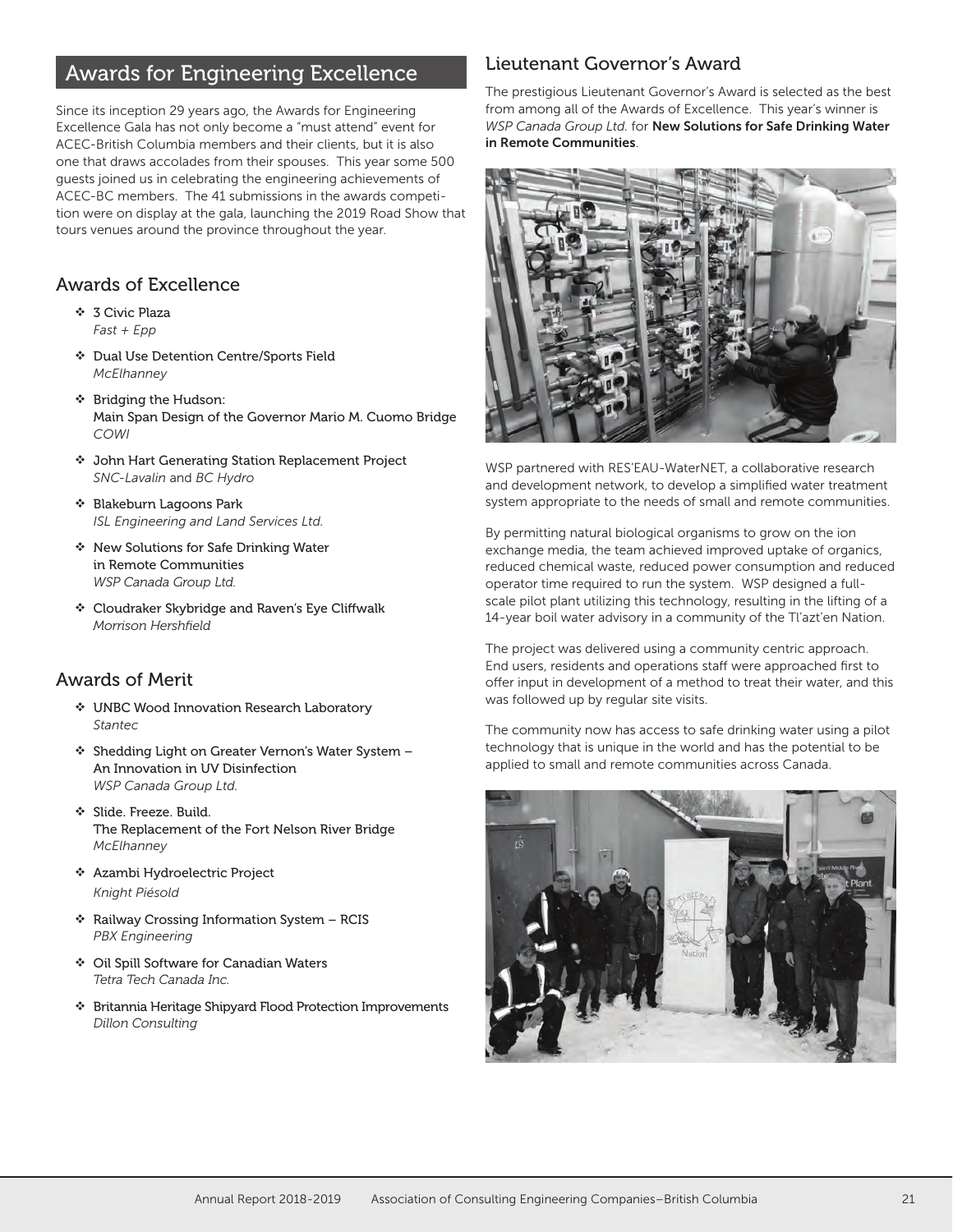### Awards for Engineering Excellence

Since its inception 29 years ago, the Awards for Engineering Excellence Gala has not only become a "must attend" event for ACEC-British Columbia members and their clients, but it is also one that draws accolades from their spouses. This year some 500 guests joined us in celebrating the engineering achievements of ACEC-BC members. The 41 submissions in the awards competition were on display at the gala, launching the 2019 Road Show that tours venues around the province throughout the year.

### Awards of Excellence

- 3 Civic Plaza *Fast + Epp*
- Dual Use Detention Centre/Sports Field *McElhanney*
- Bridging the Hudson: Main Span Design of the Governor Mario M. Cuomo Bridge *COWI*
- John Hart Generating Station Replacement Project *SNC-Lavalin* and *BC Hydro*
- \* Blakeburn Lagoons Park *ISL Engineering and Land Services Ltd.*
- New Solutions for Safe Drinking Water in Remote Communities *WSP Canada Group Ltd.*
- \* Cloudraker Skybridge and Raven's Eye Cliffwalk *Morrison Hershfield*

### Awards of Merit

- UNBC Wood Innovation Research Laboratory *Stantec*
- Shedding Light on Greater Vernon's Water System An Innovation in UV Disinfection *WSP Canada Group Ltd.*
- Slide. Freeze. Build. The Replacement of the Fort Nelson River Bridge *McElhanney*
- Azambi Hydroelectric Project *Knight Piésold*
- \* Railway Crossing Information System RCIS *PBX Engineering*
- Oil Spill Software for Canadian Waters *Tetra Tech Canada Inc.*
- Britannia Heritage Shipyard Flood Protection Improvements *Dillon Consulting*

### Lieutenant Governor's Award

The prestigious Lieutenant Governor's Award is selected as the best from among all of the Awards of Excellence. This year's winner is *WSP Canada Group Ltd.* for **New Solutions for Safe Drinking Water in Remote Communities**.



WSP partnered with RES'EAU-WaterNET, a collaborative research and development network, to develop a simplified water treatment system appropriate to the needs of small and remote communities.

By permitting natural biological organisms to grow on the ion exchange media, the team achieved improved uptake of organics, reduced chemical waste, reduced power consumption and reduced operator time required to run the system. WSP designed a fullscale pilot plant utilizing this technology, resulting in the lifting of a 14-year boil water advisory in a community of the Tl'azt'en Nation.

The project was delivered using a community centric approach. End users, residents and operations staff were approached first to offer input in development of a method to treat their water, and this was followed up by regular site visits.

The community now has access to safe drinking water using a pilot technology that is unique in the world and has the potential to be applied to small and remote communities across Canada.

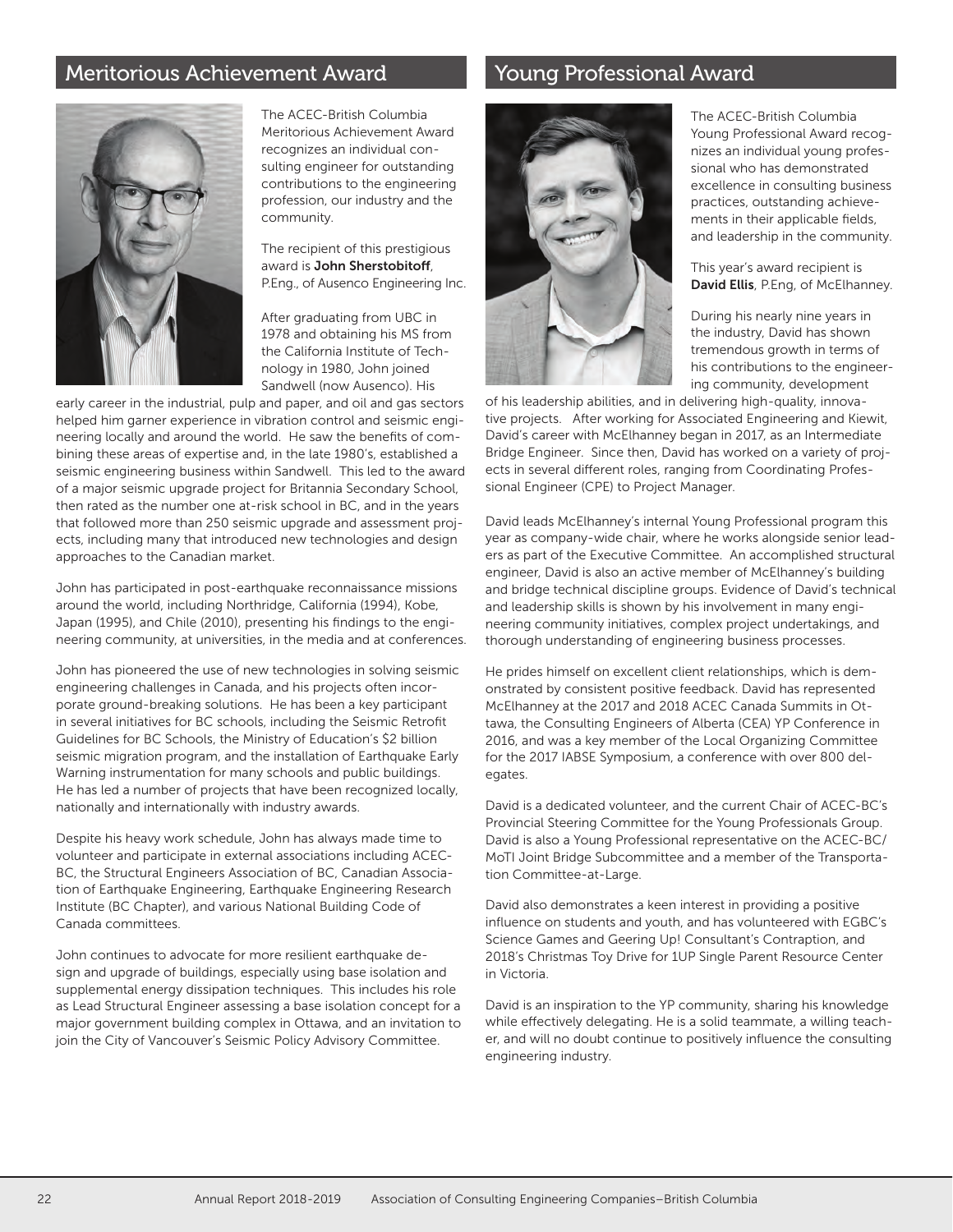### Meritorious Achievement Award



The ACEC-British Columbia Meritorious Achievement Award recognizes an individual consulting engineer for outstanding contributions to the engineering profession, our industry and the community.

The recipient of this prestigious award is John Sherstobitoff, P.Eng., of Ausenco Engineering Inc.

After graduating from UBC in 1978 and obtaining his MS from the California Institute of Technology in 1980, John joined Sandwell (now Ausenco). His

early career in the industrial, pulp and paper, and oil and gas sectors helped him garner experience in vibration control and seismic engineering locally and around the world. He saw the benefits of combining these areas of expertise and, in the late 1980's, established a seismic engineering business within Sandwell. This led to the award of a major seismic upgrade project for Britannia Secondary School, then rated as the number one at-risk school in BC, and in the years that followed more than 250 seismic upgrade and assessment projects, including many that introduced new technologies and design approaches to the Canadian market.

John has participated in post-earthquake reconnaissance missions around the world, including Northridge, California (1994), Kobe, Japan (1995), and Chile (2010), presenting his findings to the engineering community, at universities, in the media and at conferences.

John has pioneered the use of new technologies in solving seismic engineering challenges in Canada, and his projects often incorporate ground-breaking solutions. He has been a key participant in several initiatives for BC schools, including the Seismic Retrofit Guidelines for BC Schools, the Ministry of Education's \$2 billion seismic migration program, and the installation of Earthquake Early Warning instrumentation for many schools and public buildings. He has led a number of projects that have been recognized locally, nationally and internationally with industry awards.

Despite his heavy work schedule, John has always made time to volunteer and participate in external associations including ACEC-BC, the Structural Engineers Association of BC, Canadian Association of Earthquake Engineering, Earthquake Engineering Research Institute (BC Chapter), and various National Building Code of Canada committees.

John continues to advocate for more resilient earthquake design and upgrade of buildings, especially using base isolation and supplemental energy dissipation techniques. This includes his role as Lead Structural Engineer assessing a base isolation concept for a major government building complex in Ottawa, and an invitation to join the City of Vancouver's Seismic Policy Advisory Committee.

### Young Professional Award



The ACEC-British Columbia Young Professional Award recognizes an individual young professional who has demonstrated excellence in consulting business practices, outstanding achievements in their applicable fields, and leadership in the community.

This year's award recipient is **David Ellis**, P.Eng, of McElhanney.

During his nearly nine years in the industry, David has shown tremendous growth in terms of his contributions to the engineering community, development

of his leadership abilities, and in delivering high-quality, innovative projects. After working for Associated Engineering and Kiewit, David's career with McElhanney began in 2017, as an Intermediate Bridge Engineer. Since then, David has worked on a variety of projects in several different roles, ranging from Coordinating Professional Engineer (CPE) to Project Manager.

David leads McElhanney's internal Young Professional program this year as company-wide chair, where he works alongside senior leaders as part of the Executive Committee. An accomplished structural engineer, David is also an active member of McElhanney's building and bridge technical discipline groups. Evidence of David's technical and leadership skills is shown by his involvement in many engineering community initiatives, complex project undertakings, and thorough understanding of engineering business processes.

He prides himself on excellent client relationships, which is demonstrated by consistent positive feedback. David has represented McElhanney at the 2017 and 2018 ACEC Canada Summits in Ottawa, the Consulting Engineers of Alberta (CEA) YP Conference in 2016, and was a key member of the Local Organizing Committee for the 2017 IABSE Symposium, a conference with over 800 delegates.

David is a dedicated volunteer, and the current Chair of ACEC-BC's Provincial Steering Committee for the Young Professionals Group. David is also a Young Professional representative on the ACEC-BC/ MoTI Joint Bridge Subcommittee and a member of the Transportation Committee-at-Large.

David also demonstrates a keen interest in providing a positive influence on students and youth, and has volunteered with EGBC's Science Games and Geering Up! Consultant's Contraption, and 2018's Christmas Toy Drive for 1UP Single Parent Resource Center in Victoria.

David is an inspiration to the YP community, sharing his knowledge while effectively delegating. He is a solid teammate, a willing teacher, and will no doubt continue to positively influence the consulting engineering industry.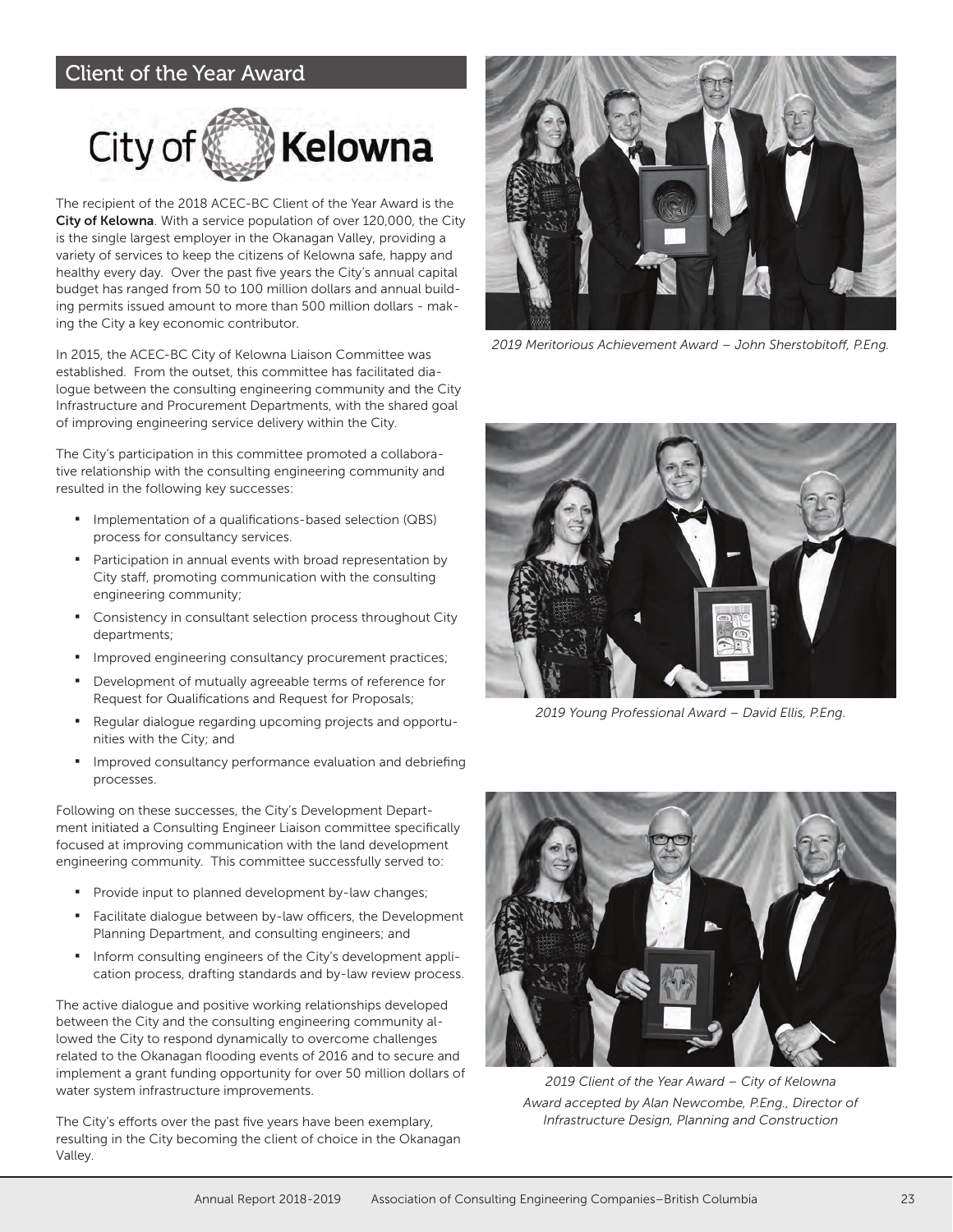### Client of the Year Award



The recipient of the 2018 ACEC-BC Client of the Year Award is the **City of Kelowna**. With a service population of over 120,000, the City is the single largest employer in the Okanagan Valley, providing a variety of services to keep the citizens of Kelowna safe, happy and healthy every day. Over the past five years the City's annual capital budget has ranged from 50 to 100 million dollars and annual building permits issued amount to more than 500 million dollars - making the City a key economic contributor.

In 2015, the ACEC-BC City of Kelowna Liaison Committee was established. From the outset, this committee has facilitated dialogue between the consulting engineering community and the City Infrastructure and Procurement Departments, with the shared goal of improving engineering service delivery within the City.

The City's participation in this committee promoted a collaborative relationship with the consulting engineering community and resulted in the following key successes:

- **Implementation of a qualifications-based selection (QBS)** process for consultancy services.
- Participation in annual events with broad representation by City staff, promoting communication with the consulting engineering community;
- **Consistency in consultant selection process throughout City** departments;
- Improved engineering consultancy procurement practices;
- **Development of mutually agreeable terms of reference for** Request for Qualifications and Request for Proposals;
- Regular dialogue regarding upcoming projects and opportunities with the City; and
- Improved consultancy performance evaluation and debriefing processes.

Following on these successes, the City's Development Department initiated a Consulting Engineer Liaison committee specifically focused at improving communication with the land development engineering community. This committee successfully served to:

- Provide input to planned development by-law changes;
- Facilitate dialoque between by-law officers, the Development Planning Department, and consulting engineers; and
- Inform consulting engineers of the City's development application process, drafting standards and by-law review process.

The active dialogue and positive working relationships developed between the City and the consulting engineering community allowed the City to respond dynamically to overcome challenges related to the Okanagan flooding events of 2016 and to secure and implement a grant funding opportunity for over 50 million dollars of water system infrastructure improvements.

The City's efforts over the past five years have been exemplary, resulting in the City becoming the client of choice in the Okanagan Valley.



*2019 Meritorious Achievement Award – John Sherstobitoff , P.Eng.*



*2019 Young Professional Award – David Ellis, P.Eng.*



*2019 Client of the Year Award – City of Kelowna Award accepted by Alan Newcombe, P.Eng., Director of Infrastructure Design, Planning and Construction*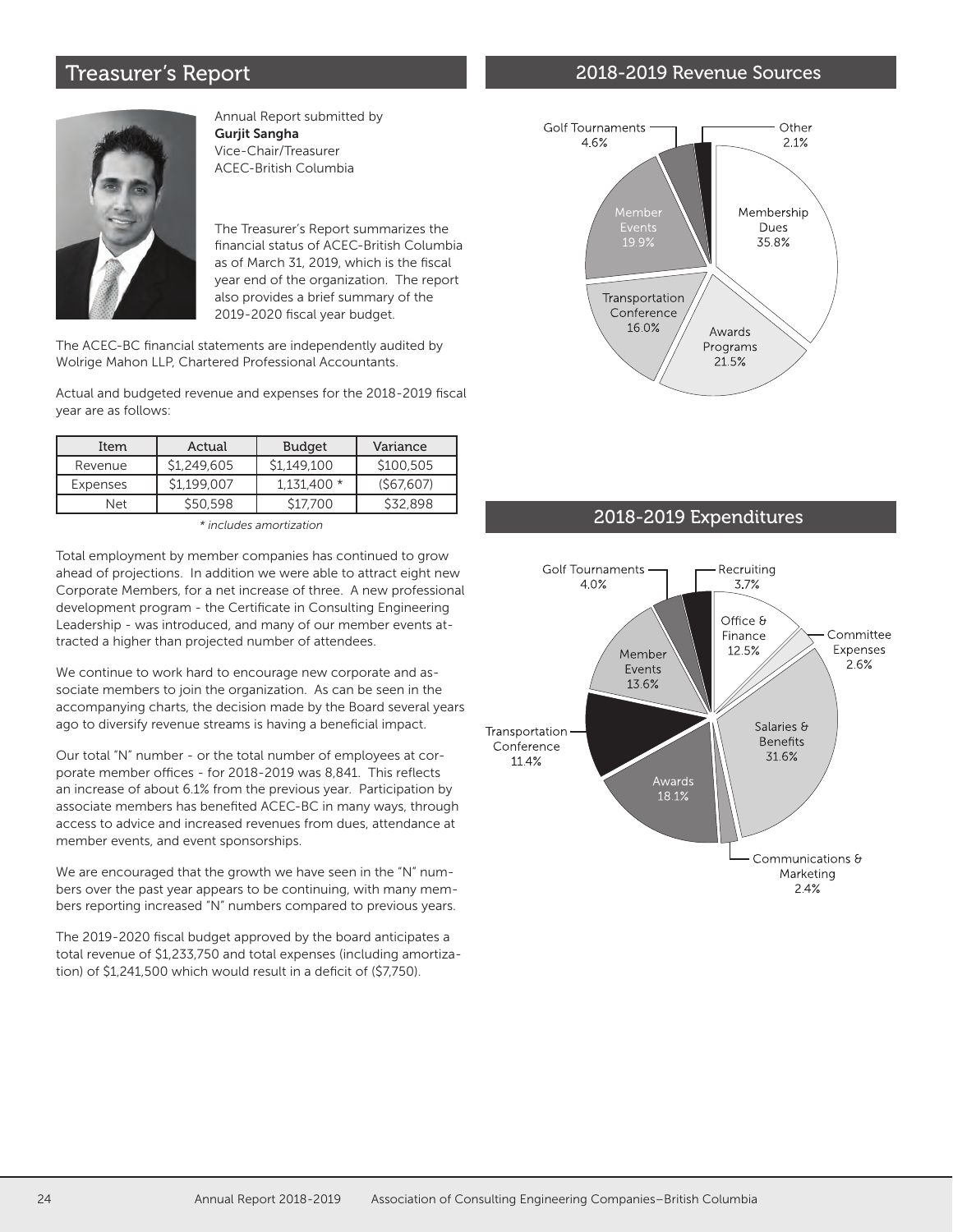### 2018-2019 Revenue Sources

### Treasurer's Report



Annual Report submitted by **Gurjit Sangha** Vice-Chair/Treasurer ACEC-British Columbia

The Treasurer's Report summarizes the financial status of ACEC-British Columbia as of March 31, 2019, which is the fiscal year end of the organization. The report also provides a brief summary of the 2019-2020 fiscal year budget.

The ACEC-BC financial statements are independently audited by Wolrige Mahon LLP, Chartered Professional Accountants.

Actual and budgeted revenue and expenses for the 2018-2019 fiscal year are as follows:

| Item     | Actual      | <b>Budget</b> | Variance  |
|----------|-------------|---------------|-----------|
| Revenue  | \$1,249,605 | \$1,149,100   | \$100,505 |
| Expenses | \$1,199,007 | $1,131,400*$  | (567,607) |
| Net      | \$50,598    | \$17,700      | \$32,898  |

*\* includes amortization*

Total employment by member companies has continued to grow ahead of projections. In addition we were able to attract eight new Corporate Members, for a net increase of three. A new professional development program - the Certificate in Consulting Engineering Leadership - was introduced, and many of our member events attracted a higher than projected number of attendees.

We continue to work hard to encourage new corporate and associate members to join the organization. As can be seen in the accompanying charts, the decision made by the Board several years ago to diversify revenue streams is having a beneficial impact.

Our total "N" number - or the total number of employees at corporate member offices - for 2018-2019 was 8,841. This reflects an increase of about 6.1% from the previous year. Participation by associate members has benefited ACEC-BC in many ways, through access to advice and increased revenues from dues, attendance at member events, and event sponsorships.

We are encouraged that the growth we have seen in the "N" numbers over the past year appears to be continuing, with many members reporting increased "N" numbers compared to previous years.

The 2019-2020 fiscal budget approved by the board anticipates a total revenue of \$1,233,750 and total expenses (including amortization) of \$1,241,500 which would result in a deficit of (\$7,750).



### 2018-2019 Expenditures

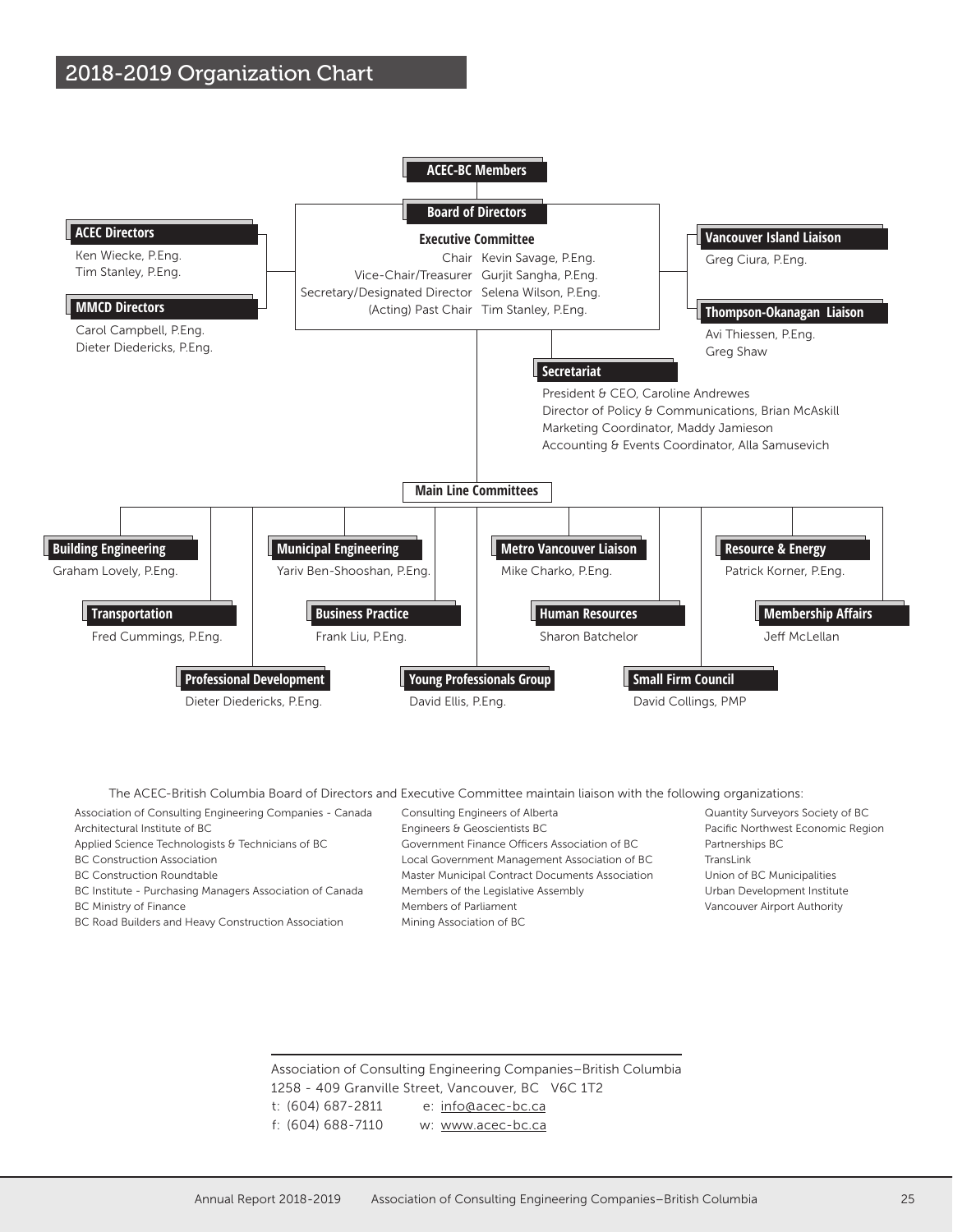

The ACEC-British Columbia Board of Directors and Executive Committee maintain liaison with the following organizations:

Association of Consulting Engineering Companies - Canada Architectural Institute of BC Applied Science Technologists & Technicians of BC BC Construction Association

- BC Construction Roundtable
- BC Institute Purchasing Managers Association of Canada
- BC Ministry of Finance
- BC Road Builders and Heavy Construction Association

Consulting Engineers of Alberta Engineers & Geoscientists BC Government Finance Officers Association of BC Local Government Management Association of BC Master Municipal Contract Documents Association Members of the Legislative Assembly Members of Parliament Mining Association of BC

Quantity Surveyors Society of BC Pacific Northwest Economic Region Partnerships BC TransLink Union of BC Municipalities Urban Development Institute Vancouver Airport Authority

Association of Consulting Engineering Companies–British Columbia 1258 - 409 Granville Street, Vancouver, BC V6C 1T2 t: (604) 687-2811 e: info@acec-bc.ca f: (604) 688-7110 w: www.acec-bc.ca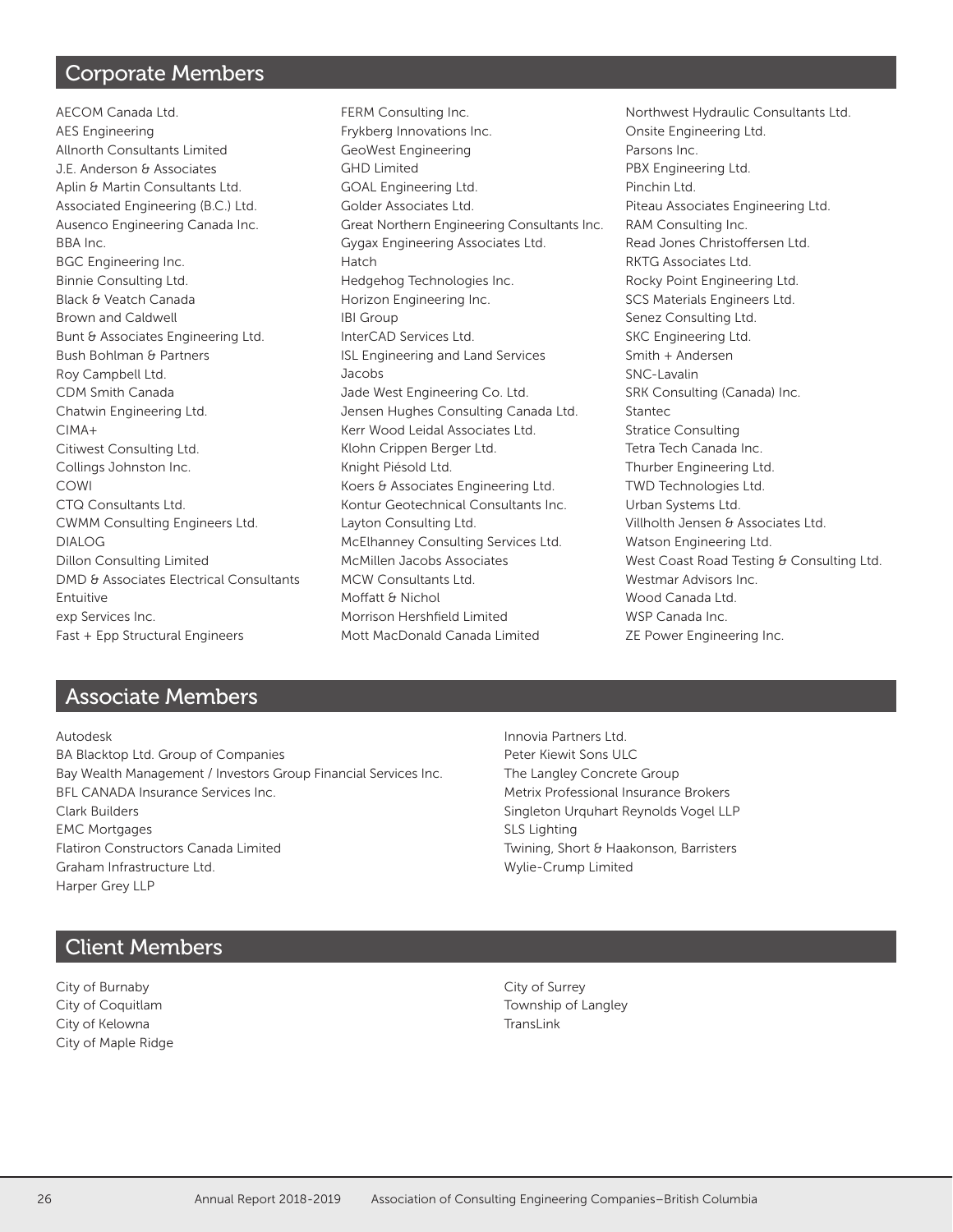### Corporate Members

AECOM Canada Ltd. AES Engineering Allnorth Consultants Limited J.E. Anderson & Associates Aplin & Martin Consultants Ltd. Associated Engineering (B.C.) Ltd. Ausenco Engineering Canada Inc. BBA Inc. BGC Engineering Inc. Binnie Consulting Ltd. Black & Veatch Canada Brown and Caldwell Bunt & Associates Engineering Ltd. Bush Bohlman & Partners Roy Campbell Ltd. CDM Smith Canada Chatwin Engineering Ltd. CIMA+ Citiwest Consulting Ltd. Collings Johnston Inc. COWI CTQ Consultants Ltd. CWMM Consulting Engineers Ltd. DIALOG Dillon Consulting Limited DMD & Associates Electrical Consultants Entuitive exp Services Inc. Fast + Epp Structural Engineers

FERM Consulting Inc. Frykberg Innovations Inc. GeoWest Engineering GHD Limited GOAL Engineering Ltd. Golder Associates Ltd. Great Northern Engineering Consultants Inc. Gygax Engineering Associates Ltd. Hatch Hedgehog Technologies Inc. Horizon Engineering Inc. IBI Group InterCAD Services Ltd. ISL Engineering and Land Services Jacobs Jade West Engineering Co. Ltd. Jensen Hughes Consulting Canada Ltd. Kerr Wood Leidal Associates Ltd. Klohn Crippen Berger Ltd. Knight Piésold Ltd. Koers & Associates Engineering Ltd. Kontur Geotechnical Consultants Inc. Layton Consulting Ltd. McElhanney Consulting Services Ltd. McMillen Jacobs Associates MCW Consultants Ltd. Moffatt & Nichol Morrison Hershfield Limited Mott MacDonald Canada Limited

Northwest Hydraulic Consultants Ltd. Onsite Engineering Ltd. Parsons Inc. PBX Engineering Ltd. Pinchin Ltd. Piteau Associates Engineering Ltd. RAM Consulting Inc. Read Jones Christoffersen Ltd. RKTG Associates Ltd. Rocky Point Engineering Ltd. SCS Materials Engineers Ltd. Senez Consulting Ltd. SKC Engineering Ltd. Smith + Andersen SNC-Lavalin SRK Consulting (Canada) Inc. Stantec Stratice Consulting Tetra Tech Canada Inc. Thurber Engineering Ltd. TWD Technologies Ltd. Urban Systems Ltd. Villholth Jensen & Associates Ltd. Watson Engineering Ltd. West Coast Road Testing & Consulting Ltd. Westmar Advisors Inc. Wood Canada Ltd. WSP Canada Inc. ZE Power Engineering Inc.

### Associate Members

Autodesk

BA Blacktop Ltd. Group of Companies Bay Wealth Management / Investors Group Financial Services Inc. BFL CANADA Insurance Services Inc. Clark Builders EMC Mortgages Flatiron Constructors Canada Limited Graham Infrastructure Ltd. Harper Grey LLP

Innovia Partners Ltd. Peter Kiewit Sons ULC The Langley Concrete Group Metrix Professional Insurance Brokers Singleton Urquhart Reynolds Vogel LLP SLS Lighting Twining, Short & Haakonson, Barristers Wylie-Crump Limited

### Client Members

City of Burnaby City of Coquitlam City of Kelowna City of Maple Ridge

City of Surrey Township of Langley **TransLink**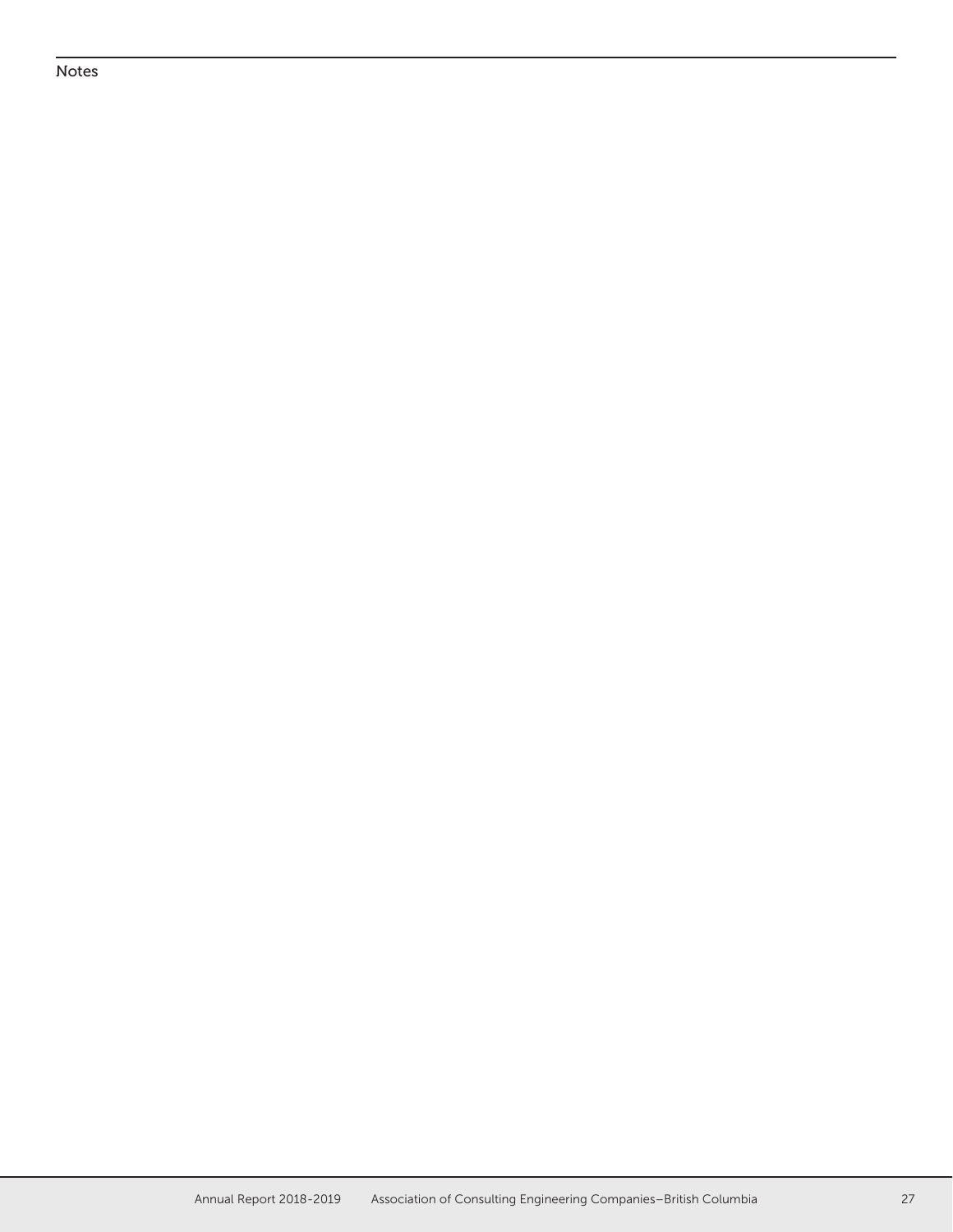Notes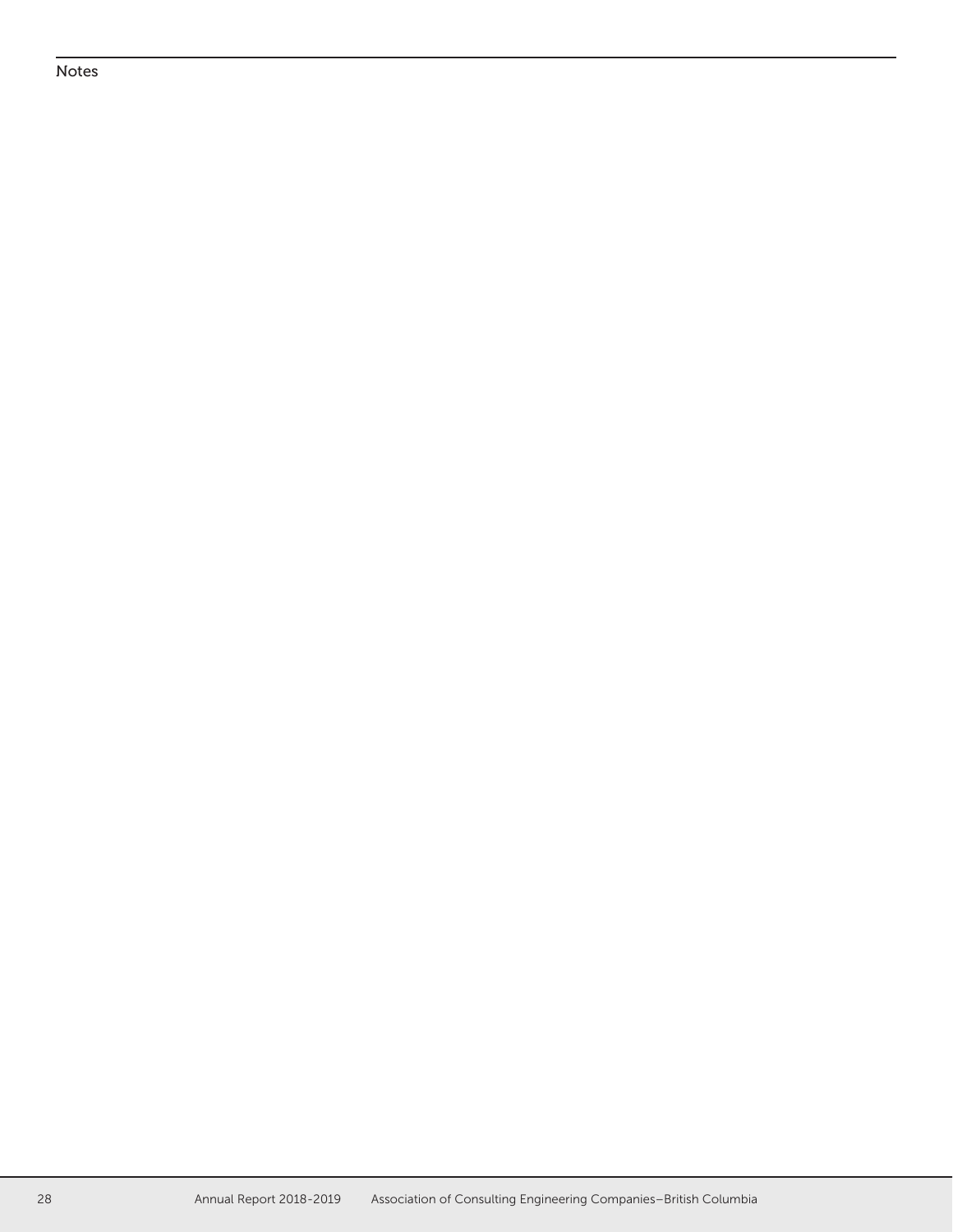Notes